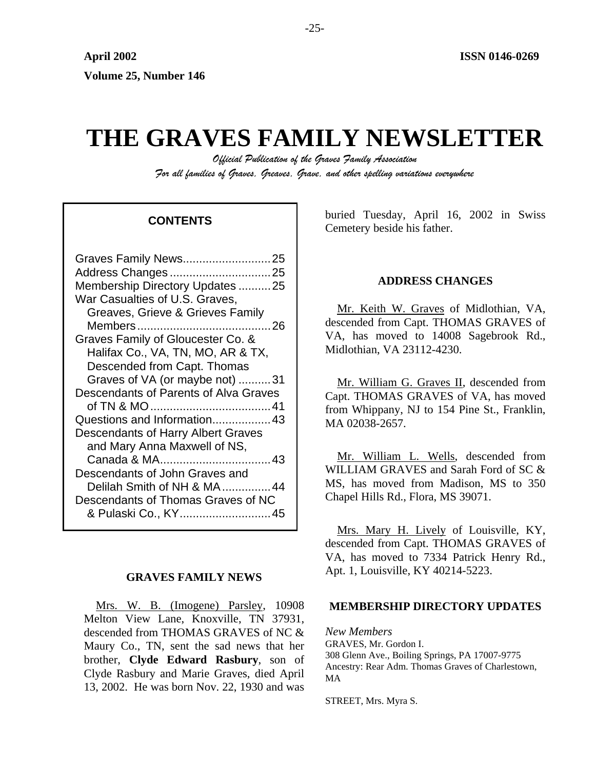# **THE GRAVES FAMILY NEWSLETTER**

*Official Publication of the Graves Family Association For all families of Graves, Greaves, Grave, and other spelling variations everywhere* 

| Graves Family News25                  |
|---------------------------------------|
| Address Changes25                     |
| Membership Directory Updates 25       |
| War Casualties of U.S. Graves,        |
| Greaves, Grieve & Grieves Family      |
|                                       |
| Graves Family of Gloucester Co. &     |
| Halifax Co., VA, TN, MO, AR & TX,     |
| Descended from Capt. Thomas           |
| Graves of VA (or maybe not) 31        |
| Descendants of Parents of Alva Graves |
|                                       |
| Questions and Information43           |
| Descendants of Harry Albert Graves    |
| and Mary Anna Maxwell of NS,          |
|                                       |
| Descendants of John Graves and        |
| Delilah Smith of NH & MA44            |
| Descendants of Thomas Graves of NC    |
| & Pulaski Co., KY45                   |
|                                       |

#### **GRAVES FAMILY NEWS**

Mrs. W. B. (Imogene) Parsley, 10908 Melton View Lane, Knoxville, TN 37931, descended from THOMAS GRAVES of NC & Maury Co., TN, sent the sad news that her brother, **Clyde Edward Rasbury**, son of Clyde Rasbury and Marie Graves, died April 13, 2002. He was born Nov. 22, 1930 and was

buried Tuesday, April 16, 2002 in Swiss **CONTENTS CONTENTS CONTENTS Cemetery beside his father.** 

# **ADDRESS CHANGES**

Mr. Keith W. Graves of Midlothian, VA, descended from Capt. THOMAS GRAVES of VA, has moved to 14008 Sagebrook Rd., Midlothian, VA 23112-4230.

Mr. William G. Graves II, descended from Capt. THOMAS GRAVES of VA, has moved from Whippany, NJ to 154 Pine St., Franklin, MA 02038-2657.

Mr. William L. Wells, descended from WILLIAM GRAVES and Sarah Ford of SC & MS, has moved from Madison, MS to 350 Chapel Hills Rd., Flora, MS 39071.

Mrs. Mary H. Lively of Louisville, KY, descended from Capt. THOMAS GRAVES of VA, has moved to 7334 Patrick Henry Rd., Apt. 1, Louisville, KY 40214-5223.

#### **MEMBERSHIP DIRECTORY UPDATES**

#### *New Members*  GRAVES, Mr. Gordon I. 308 Glenn Ave., Boiling Springs, PA 17007-9775 Ancestry: Rear Adm. Thomas Graves of Charlestown, MA

STREET, Mrs. Myra S.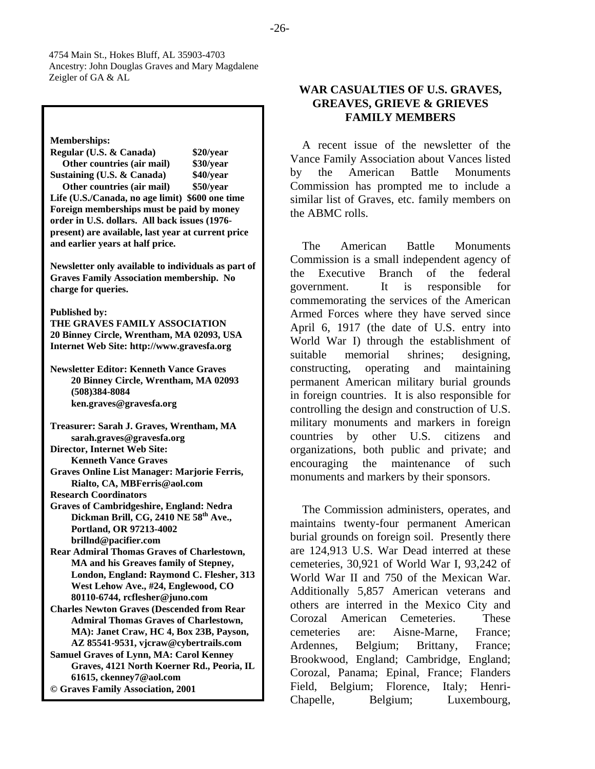4754 Main St., Hokes Bluff, AL 35903-4703 Ancestry: John Douglas Graves and Mary Magdalene Zeigler of GA & AL

**Memberships:** 

**Regular (U.S. & Canada) \$20/year Other countries (air mail) \$30/year Sustaining (U.S. & Canada) \$40/year** 

 **Other countries (air mail) \$50/year Life (U.S./Canada, no age limit) \$600 one time Foreign memberships must be paid by money order in U.S. dollars. All back issues (1976 present) are available, last year at current price and earlier years at half price.** 

**Newsletter only available to individuals as part of Graves Family Association membership. No charge for queries.** 

**Published by:** 

**THE GRAVES FAMILY ASSOCIATION 20 Binney Circle, Wrentham, MA 02093, USA Internet Web Site: http://www.gravesfa.org** 

**Newsletter Editor: Kenneth Vance Graves 20 Binney Circle, Wrentham, MA 02093 (508)384-8084 ken.graves@gravesfa.org** 

**Treasurer: Sarah J. Graves, Wrentham, MA sarah.graves@gravesfa.org Director, Internet Web Site: Kenneth Vance Graves Graves Online List Manager: Marjorie Ferris,** 

**Rialto, CA, MBFerris@aol.com** 

**Research Coordinators** 

**Graves of Cambridgeshire, England: Nedra Dickman Brill, CG, 2410 NE 58th Ave., Portland, OR 97213-4002 brillnd@pacifier.com** 

**Rear Admiral Thomas Graves of Charlestown, MA and his Greaves family of Stepney, London, England: Raymond C. Flesher, 313 West Lehow Ave., #24, Englewood, CO 80110-6744, rcflesher@juno.com** 

**Charles Newton Graves (Descended from Rear Admiral Thomas Graves of Charlestown, MA): Janet Craw, HC 4, Box 23B, Payson, AZ 85541-9531, vjcraw@cybertrails.com Samuel Graves of Lynn, MA: Carol Kenney** 

**Graves, 4121 North Koerner Rd., Peoria, IL 61615, ckenney7@aol.com © Graves Family Association, 2001**

# **WAR CASUALTIES OF U.S. GRAVES, GREAVES, GRIEVE & GRIEVES FAMILY MEMBERS**

A recent issue of the newsletter of the Vance Family Association about Vances listed by the American Battle Monuments Commission has prompted me to include a similar list of Graves, etc. family members on the ABMC rolls.

The American Battle Monuments Commission is a small independent agency of the Executive Branch of the federal government. It is responsible for commemorating the services of the American Armed Forces where they have served since April 6, 1917 (the date of U.S. entry into World War I) through the establishment of suitable memorial shrines; designing, constructing, operating and maintaining permanent American military burial grounds in foreign countries. It is also responsible for controlling the design and construction of U.S. military monuments and markers in foreign countries by other U.S. citizens and organizations, both public and private; and encouraging the maintenance of such monuments and markers by their sponsors.

The Commission administers, operates, and maintains twenty-four permanent American burial grounds on foreign soil. Presently there are 124,913 U.S. War Dead interred at these cemeteries, 30,921 of World War I, 93,242 of World War II and 750 of the Mexican War. Additionally 5,857 American veterans and others are interred in the Mexico City and Corozal American Cemeteries. These cemeteries are: Aisne-Marne, France; Ardennes, Belgium; Brittany, France; Brookwood, England; Cambridge, England; Corozal, Panama; Epinal, France; Flanders Field, Belgium; Florence, Italy; Henri-Chapelle, Belgium; Luxembourg,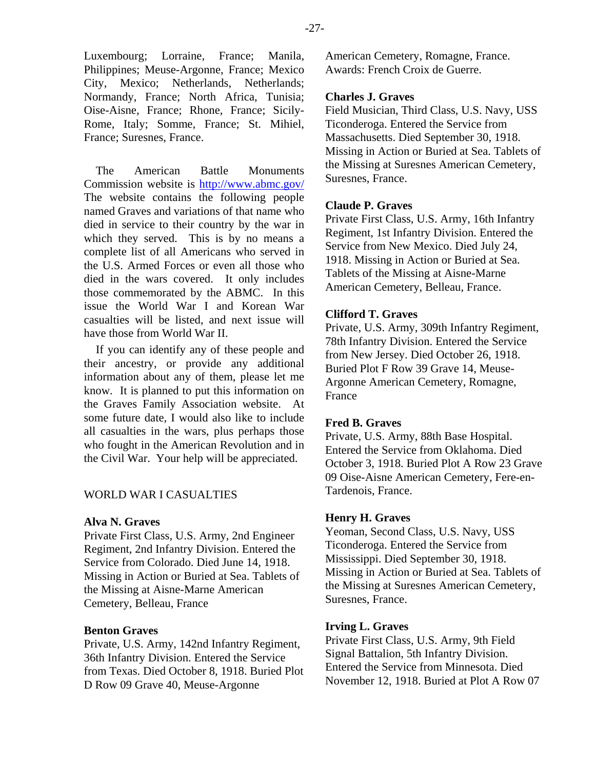Luxembourg; Lorraine, France; Manila, Philippines; Meuse-Argonne, France; Mexico City, Mexico; Netherlands, Netherlands; Normandy, France; North Africa, Tunisia; Oise-Aisne, France; Rhone, France; Sicily-Rome, Italy; Somme, France; St. Mihiel, France; Suresnes, France.

The American Battle Monuments Commission website is <http://www.abmc.gov/> The website contains the following people named Graves and variations of that name who died in service to their country by the war in which they served. This is by no means a complete list of all Americans who served in the U.S. Armed Forces or even all those who died in the wars covered. It only includes those commemorated by the ABMC. In this issue the World War I and Korean War casualties will be listed, and next issue will have those from World War II.

If you can identify any of these people and their ancestry, or provide any additional information about any of them, please let me know. It is planned to put this information on the Graves Family Association website. At some future date, I would also like to include all casualties in the wars, plus perhaps those who fought in the American Revolution and in the Civil War. Your help will be appreciated.

# WORLD WAR I CASUALTIES

#### **Alva N. Graves**

Private First Class, U.S. Army, 2nd Engineer Regiment, 2nd Infantry Division. Entered the Service from Colorado. Died June 14, 1918. Missing in Action or Buried at Sea. Tablets of the Missing at Aisne-Marne American Cemetery, Belleau, France

#### **Benton Graves**

Private, U.S. Army, 142nd Infantry Regiment, 36th Infantry Division. Entered the Service from Texas. Died October 8, 1918. Buried Plot D Row 09 Grave 40, Meuse-Argonne

American Cemetery, Romagne, France. Awards: French Croix de Guerre.

# **Charles J. Graves**

Field Musician, Third Class, U.S. Navy, USS Ticonderoga. Entered the Service from Massachusetts. Died September 30, 1918. Missing in Action or Buried at Sea. Tablets of the Missing at Suresnes American Cemetery, Suresnes, France.

#### **Claude P. Graves**

Private First Class, U.S. Army, 16th Infantry Regiment, 1st Infantry Division. Entered the Service from New Mexico. Died July 24, 1918. Missing in Action or Buried at Sea. Tablets of the Missing at Aisne-Marne American Cemetery, Belleau, France.

#### **Clifford T. Graves**

Private, U.S. Army, 309th Infantry Regiment, 78th Infantry Division. Entered the Service from New Jersey. Died October 26, 1918. Buried Plot F Row 39 Grave 14, Meuse-Argonne American Cemetery, Romagne, France

# **Fred B. Graves**

Private, U.S. Army, 88th Base Hospital. Entered the Service from Oklahoma. Died October 3, 1918. Buried Plot A Row 23 Grave 09 Oise-Aisne American Cemetery, Fere-en-Tardenois, France.

#### **Henry H. Graves**

Yeoman, Second Class, U.S. Navy, USS Ticonderoga. Entered the Service from Mississippi. Died September 30, 1918. Missing in Action or Buried at Sea. Tablets of the Missing at Suresnes American Cemetery, Suresnes, France.

#### **Irving L. Graves**

Private First Class, U.S. Army, 9th Field Signal Battalion, 5th Infantry Division. Entered the Service from Minnesota. Died November 12, 1918. Buried at Plot A Row 07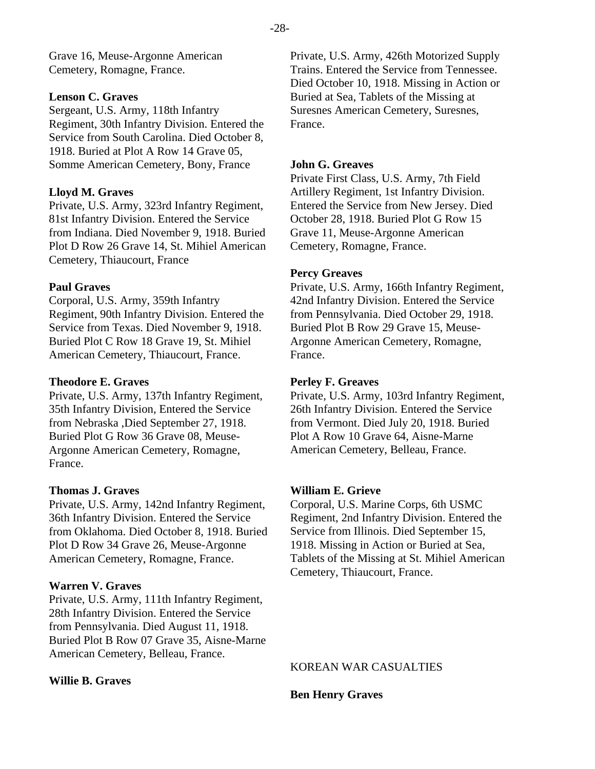Grave 16, Meuse-Argonne American Cemetery, Romagne, France.

# **Lenson C. Graves**

Sergeant, U.S. Army, 118th Infantry Regiment, 30th Infantry Division. Entered the Service from South Carolina. Died October 8, 1918. Buried at Plot A Row 14 Grave 05, Somme American Cemetery, Bony, France

# **Lloyd M. Graves**

Private, U.S. Army, 323rd Infantry Regiment, 81st Infantry Division. Entered the Service from Indiana. Died November 9, 1918. Buried Plot D Row 26 Grave 14, St. Mihiel American Cemetery, Thiaucourt, France

# **Paul Graves**

Corporal, U.S. Army, 359th Infantry Regiment, 90th Infantry Division. Entered the Service from Texas. Died November 9, 1918. Buried Plot C Row 18 Grave 19, St. Mihiel American Cemetery, Thiaucourt, France.

# **Theodore E. Graves**

Private, U.S. Army, 137th Infantry Regiment, 35th Infantry Division, Entered the Service from Nebraska ,Died September 27, 1918. Buried Plot G Row 36 Grave 08, Meuse-Argonne American Cemetery, Romagne, France.

# **Thomas J. Graves**

Private, U.S. Army, 142nd Infantry Regiment, 36th Infantry Division. Entered the Service from Oklahoma. Died October 8, 1918. Buried Plot D Row 34 Grave 26, Meuse-Argonne American Cemetery, Romagne, France.

# **Warren V. Graves**

Private, U.S. Army, 111th Infantry Regiment, 28th Infantry Division. Entered the Service from Pennsylvania. Died August 11, 1918. Buried Plot B Row 07 Grave 35, Aisne-Marne American Cemetery, Belleau, France.

# **Willie B. Graves**

Private, U.S. Army, 426th Motorized Supply Trains. Entered the Service from Tennessee. Died October 10, 1918. Missing in Action or Buried at Sea, Tablets of the Missing at Suresnes American Cemetery, Suresnes, France.

# **John G. Greaves**

Private First Class, U.S. Army, 7th Field Artillery Regiment, 1st Infantry Division. Entered the Service from New Jersey. Died October 28, 1918. Buried Plot G Row 15 Grave 11, Meuse-Argonne American Cemetery, Romagne, France.

# **Percy Greaves**

Private, U.S. Army, 166th Infantry Regiment, 42nd Infantry Division. Entered the Service from Pennsylvania. Died October 29, 1918. Buried Plot B Row 29 Grave 15, Meuse-Argonne American Cemetery, Romagne, France.

# **Perley F. Greaves**

Private, U.S. Army, 103rd Infantry Regiment, 26th Infantry Division. Entered the Service from Vermont. Died July 20, 1918. Buried Plot A Row 10 Grave 64, Aisne-Marne American Cemetery, Belleau, France.

# **William E. Grieve**

Corporal, U.S. Marine Corps, 6th USMC Regiment, 2nd Infantry Division. Entered the Service from Illinois. Died September 15, 1918. Missing in Action or Buried at Sea, Tablets of the Missing at St. Mihiel American Cemetery, Thiaucourt, France.

KOREAN WAR CASUALTIES

**Ben Henry Graves**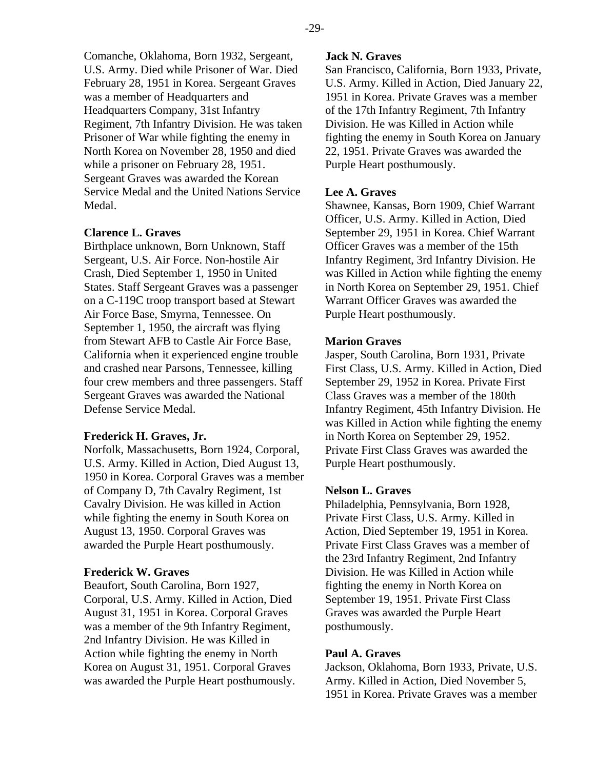Comanche, Oklahoma, Born 1932, Sergeant, U.S. Army. Died while Prisoner of War. Died February 28, 1951 in Korea. Sergeant Graves was a member of Headquarters and Headquarters Company, 31st Infantry Regiment, 7th Infantry Division. He was taken Prisoner of War while fighting the enemy in North Korea on November 28, 1950 and died while a prisoner on February 28, 1951. Sergeant Graves was awarded the Korean Service Medal and the United Nations Service Medal.

#### **Clarence L. Graves**

Birthplace unknown, Born Unknown, Staff Sergeant, U.S. Air Force. Non-hostile Air Crash, Died September 1, 1950 in United States. Staff Sergeant Graves was a passenger on a C-119C troop transport based at Stewart Air Force Base, Smyrna, Tennessee. On September 1, 1950, the aircraft was flying from Stewart AFB to Castle Air Force Base, California when it experienced engine trouble and crashed near Parsons, Tennessee, killing four crew members and three passengers. Staff Sergeant Graves was awarded the National Defense Service Medal.

#### **Frederick H. Graves, Jr.**

Norfolk, Massachusetts, Born 1924, Corporal, U.S. Army. Killed in Action, Died August 13, 1950 in Korea. Corporal Graves was a member of Company D, 7th Cavalry Regiment, 1st Cavalry Division. He was killed in Action while fighting the enemy in South Korea on August 13, 1950. Corporal Graves was awarded the Purple Heart posthumously.

#### **Frederick W. Graves**

Beaufort, South Carolina, Born 1927, Corporal, U.S. Army. Killed in Action, Died August 31, 1951 in Korea. Corporal Graves was a member of the 9th Infantry Regiment, 2nd Infantry Division. He was Killed in Action while fighting the enemy in North Korea on August 31, 1951. Corporal Graves was awarded the Purple Heart posthumously.

# **Jack N. Graves**

San Francisco, California, Born 1933, Private, U.S. Army. Killed in Action, Died January 22, 1951 in Korea. Private Graves was a member of the 17th Infantry Regiment, 7th Infantry Division. He was Killed in Action while fighting the enemy in South Korea on January 22, 1951. Private Graves was awarded the Purple Heart posthumously.

### **Lee A. Graves**

Shawnee, Kansas, Born 1909, Chief Warrant Officer, U.S. Army. Killed in Action, Died September 29, 1951 in Korea. Chief Warrant Officer Graves was a member of the 15th Infantry Regiment, 3rd Infantry Division. He was Killed in Action while fighting the enemy in North Korea on September 29, 1951. Chief Warrant Officer Graves was awarded the Purple Heart posthumously.

#### **Marion Graves**

Jasper, South Carolina, Born 1931, Private First Class, U.S. Army. Killed in Action, Died September 29, 1952 in Korea. Private First Class Graves was a member of the 180th Infantry Regiment, 45th Infantry Division. He was Killed in Action while fighting the enemy in North Korea on September 29, 1952. Private First Class Graves was awarded the Purple Heart posthumously.

#### **Nelson L. Graves**

Philadelphia, Pennsylvania, Born 1928, Private First Class, U.S. Army. Killed in Action, Died September 19, 1951 in Korea. Private First Class Graves was a member of the 23rd Infantry Regiment, 2nd Infantry Division. He was Killed in Action while fighting the enemy in North Korea on September 19, 1951. Private First Class Graves was awarded the Purple Heart posthumously.

#### **Paul A. Graves**

Jackson, Oklahoma, Born 1933, Private, U.S. Army. Killed in Action, Died November 5, 1951 in Korea. Private Graves was a member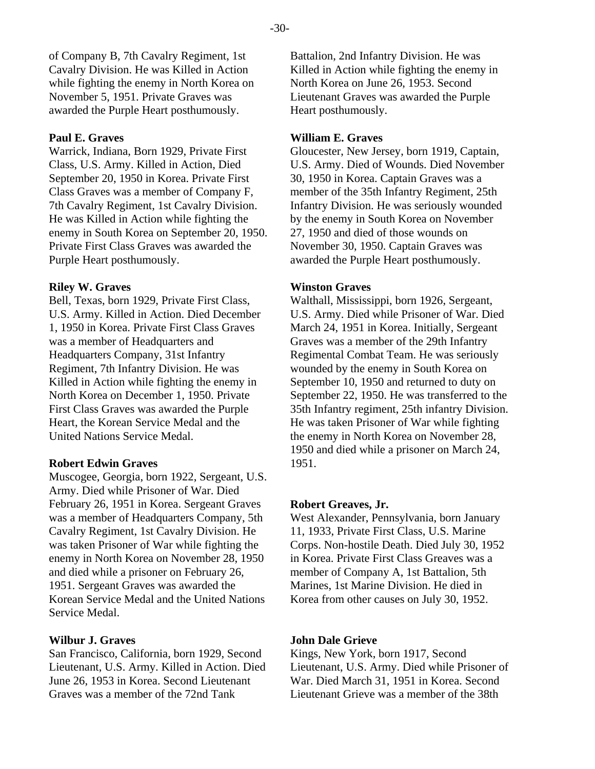of Company B, 7th Cavalry Regiment, 1st Cavalry Division. He was Killed in Action while fighting the enemy in North Korea on November 5, 1951. Private Graves was awarded the Purple Heart posthumously.

#### **Paul E. Graves**

Warrick, Indiana, Born 1929, Private First Class, U.S. Army. Killed in Action, Died September 20, 1950 in Korea. Private First Class Graves was a member of Company F, 7th Cavalry Regiment, 1st Cavalry Division. He was Killed in Action while fighting the enemy in South Korea on September 20, 1950. Private First Class Graves was awarded the Purple Heart posthumously.

#### **Riley W. Graves**

Bell, Texas, born 1929, Private First Class, U.S. Army. Killed in Action. Died December 1, 1950 in Korea. Private First Class Graves was a member of Headquarters and Headquarters Company, 31st Infantry Regiment, 7th Infantry Division. He was Killed in Action while fighting the enemy in North Korea on December 1, 1950. Private First Class Graves was awarded the Purple Heart, the Korean Service Medal and the United Nations Service Medal.

#### **Robert Edwin Graves**

Muscogee, Georgia, born 1922, Sergeant, U.S. Army. Died while Prisoner of War. Died February 26, 1951 in Korea. Sergeant Graves was a member of Headquarters Company, 5th Cavalry Regiment, 1st Cavalry Division. He was taken Prisoner of War while fighting the enemy in North Korea on November 28, 1950 and died while a prisoner on February 26, 1951. Sergeant Graves was awarded the Korean Service Medal and the United Nations Service Medal.

#### **Wilbur J. Graves**

San Francisco, California, born 1929, Second Lieutenant, U.S. Army. Killed in Action. Died June 26, 1953 in Korea. Second Lieutenant Graves was a member of the 72nd Tank

Battalion, 2nd Infantry Division. He was Killed in Action while fighting the enemy in North Korea on June 26, 1953. Second Lieutenant Graves was awarded the Purple Heart posthumously.

#### **William E. Graves**

Gloucester, New Jersey, born 1919, Captain, U.S. Army. Died of Wounds. Died November 30, 1950 in Korea. Captain Graves was a member of the 35th Infantry Regiment, 25th Infantry Division. He was seriously wounded by the enemy in South Korea on November 27, 1950 and died of those wounds on November 30, 1950. Captain Graves was awarded the Purple Heart posthumously.

#### **Winston Graves**

Walthall, Mississippi, born 1926, Sergeant, U.S. Army. Died while Prisoner of War. Died March 24, 1951 in Korea. Initially, Sergeant Graves was a member of the 29th Infantry Regimental Combat Team. He was seriously wounded by the enemy in South Korea on September 10, 1950 and returned to duty on September 22, 1950. He was transferred to the 35th Infantry regiment, 25th infantry Division. He was taken Prisoner of War while fighting the enemy in North Korea on November 28, 1950 and died while a prisoner on March 24, 1951.

#### **Robert Greaves, Jr.**

West Alexander, Pennsylvania, born January 11, 1933, Private First Class, U.S. Marine Corps. Non-hostile Death. Died July 30, 1952 in Korea. Private First Class Greaves was a member of Company A, 1st Battalion, 5th Marines, 1st Marine Division. He died in Korea from other causes on July 30, 1952.

#### **John Dale Grieve**

Kings, New York, born 1917, Second Lieutenant, U.S. Army. Died while Prisoner of War. Died March 31, 1951 in Korea. Second Lieutenant Grieve was a member of the 38th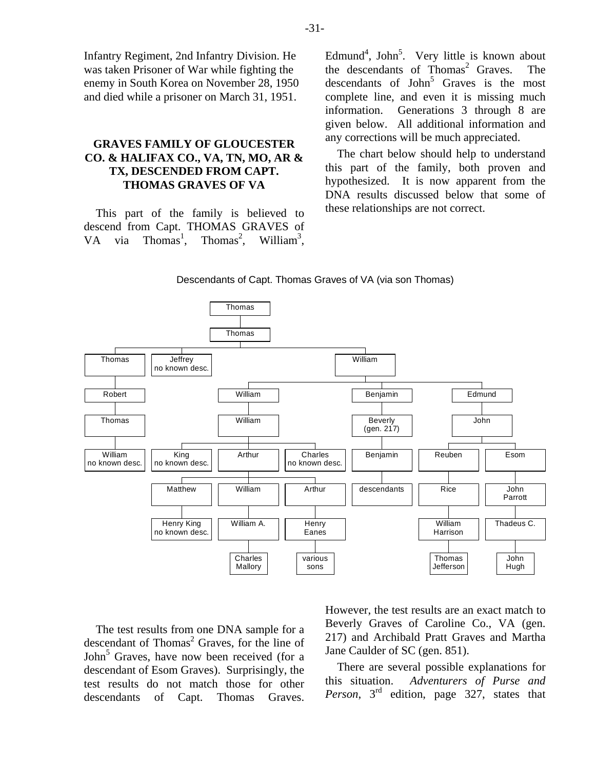Infantry Regiment, 2nd Infantry Division. He was taken Prisoner of War while fighting the enemy in South Korea on November 28, 1950 and died while a prisoner on March 31, 1951.

# **GRAVES FAMILY OF GLOUCESTER CO. & HALIFAX CO., VA, TN, MO, AR & TX, DESCENDED FROM CAPT. THOMAS GRAVES OF VA**

This part of the family is believed to descend from Capt. THOMAS GRAVES of VA via Thomas<sup>1</sup>, Thomas<sup>2</sup>, William<sup>3</sup>,

Edmund<sup>4</sup>, John<sup>5</sup>. Very little is known about the descendants of Thomas<sup>2</sup> Graves. The descendants of John<sup>5</sup> Graves is the most complete line, and even it is missing much information. Generations 3 through 8 are given below. All additional information and any corrections will be much appreciated.

The chart below should help to understand this part of the family, both proven and hypothesized. It is now apparent from the DNA results discussed below that some of these relationships are not correct.





The test results from one DNA sample for a descendant of Thomas<sup>2</sup> Graves, for the line of John<sup>5</sup> Graves, have now been received (for a descendant of Esom Graves). Surprisingly, the test results do not match those for other descendants of Capt. Thomas Graves.

However, the test results are an exact match to Beverly Graves of Caroline Co., VA (gen. 217) and Archibald Pratt Graves and Martha Jane Caulder of SC (gen. 851).

There are several possible explanations for this situation. *Adventurers of Purse and Person*, 3rd edition, page 327, states that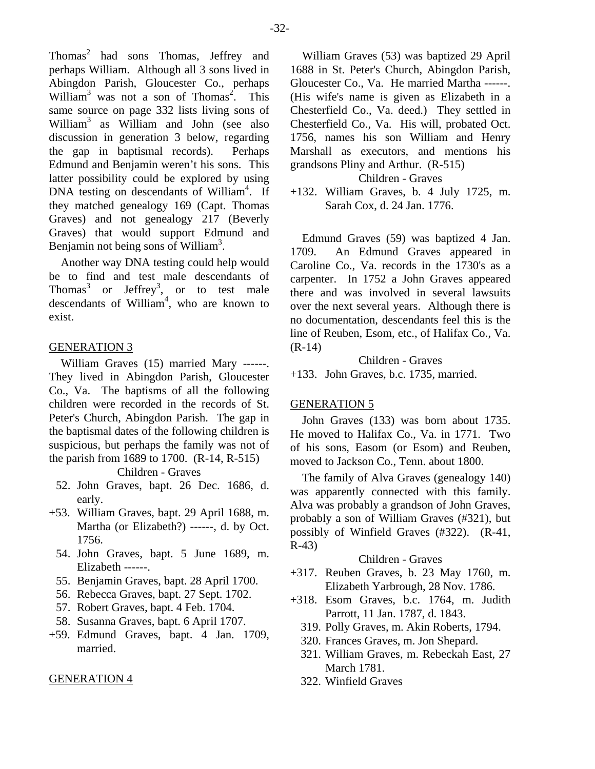Thomas<sup>2</sup> had sons Thomas, Jeffrey and perhaps William. Although all 3 sons lived in Abingdon Parish, Gloucester Co., perhaps William<sup>3</sup> was not a son of Thomas<sup>2</sup>. This same source on page 332 lists living sons of William3 as William and John (see also discussion in generation 3 below, regarding the gap in baptismal records). Perhaps Edmund and Benjamin weren't his sons. This latter possibility could be explored by using DNA testing on descendants of William<sup>4</sup>. If they matched genealogy 169 (Capt. Thomas Graves) and not genealogy 217 (Beverly Graves) that would support Edmund and Benjamin not being sons of William<sup>3</sup>.

Another way DNA testing could help would be to find and test male descendants of Thomas<sup>3</sup> or Jeffrey<sup>3</sup>, or to test male descendants of William<sup>4</sup>, who are known to exist.

#### GENERATION 3

William Graves (15) married Mary ------. They lived in Abingdon Parish, Gloucester Co., Va. The baptisms of all the following children were recorded in the records of St. Peter's Church, Abingdon Parish. The gap in the baptismal dates of the following children is suspicious, but perhaps the family was not of the parish from 1689 to 1700. (R-14, R-515)

Children - Graves

- 52. John Graves, bapt. 26 Dec. 1686, d. early.
- +53. William Graves, bapt. 29 April 1688, m. Martha (or Elizabeth?) ------, d. by Oct. 1756.
	- 54. John Graves, bapt. 5 June 1689, m. Elizabeth ------.
	- 55. Benjamin Graves, bapt. 28 April 1700.
	- 56. Rebecca Graves, bapt. 27 Sept. 1702.
	- 57. Robert Graves, bapt. 4 Feb. 1704.
	- 58. Susanna Graves, bapt. 6 April 1707.
- +59. Edmund Graves, bapt. 4 Jan. 1709, married.

#### GENERATION 4

William Graves (53) was baptized 29 April 1688 in St. Peter's Church, Abingdon Parish, Gloucester Co., Va. He married Martha ------. (His wife's name is given as Elizabeth in a Chesterfield Co., Va. deed.) They settled in Chesterfield Co., Va. His will, probated Oct. 1756, names his son William and Henry Marshall as executors, and mentions his grandsons Pliny and Arthur. (R-515)

## Children - Graves

+132. William Graves, b. 4 July 1725, m. Sarah Cox, d. 24 Jan. 1776.

Edmund Graves (59) was baptized 4 Jan. 1709. An Edmund Graves appeared in Caroline Co., Va. records in the 1730's as a carpenter. In 1752 a John Graves appeared there and was involved in several lawsuits over the next several years. Although there is no documentation, descendants feel this is the line of Reuben, Esom, etc., of Halifax Co., Va. (R-14)

Children - Graves

+133. John Graves, b.c. 1735, married.

#### GENERATION 5

John Graves (133) was born about 1735. He moved to Halifax Co., Va. in 1771. Two of his sons, Easom (or Esom) and Reuben, moved to Jackson Co., Tenn. about 1800.

The family of Alva Graves (genealogy 140) was apparently connected with this family. Alva was probably a grandson of John Graves, probably a son of William Graves (#321), but possibly of Winfield Graves (#322). (R-41, R-43)

#### Children - Graves

- +317. Reuben Graves, b. 23 May 1760, m. Elizabeth Yarbrough, 28 Nov. 1786.
- +318. Esom Graves, b.c. 1764, m. Judith Parrott, 11 Jan. 1787, d. 1843.
	- 319. Polly Graves, m. Akin Roberts, 1794.
	- 320. Frances Graves, m. Jon Shepard.
	- 321. William Graves, m. Rebeckah East, 27 March 1781.
	- 322. Winfield Graves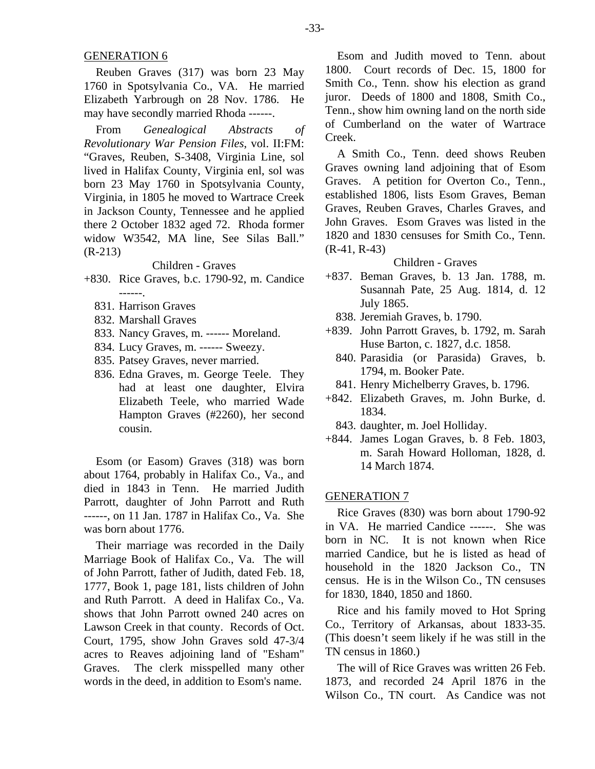Reuben Graves (317) was born 23 May 1760 in Spotsylvania Co., VA. He married Elizabeth Yarbrough on 28 Nov. 1786. He may have secondly married Rhoda ------.

From *Genealogical Abstracts of Revolutionary War Pension Files*, vol. II:FM: "Graves, Reuben, S-3408, Virginia Line, sol lived in Halifax County, Virginia enl, sol was born 23 May 1760 in Spotsylvania County, Virginia, in 1805 he moved to Wartrace Creek in Jackson County, Tennessee and he applied there 2 October 1832 aged 72. Rhoda former widow W3542, MA line, See Silas Ball." (R-213)

#### Children - Graves

- +830. Rice Graves, b.c. 1790-92, m. Candice ------.
	- 831. Harrison Graves
	- 832. Marshall Graves
	- 833. Nancy Graves, m. ------ Moreland.
	- 834. Lucy Graves, m. ------ Sweezy.
	- 835. Patsey Graves, never married.
	- 836. Edna Graves, m. George Teele. They had at least one daughter, Elvira Elizabeth Teele, who married Wade Hampton Graves (#2260), her second cousin.

Esom (or Easom) Graves (318) was born about 1764, probably in Halifax Co., Va., and died in 1843 in Tenn. He married Judith Parrott, daughter of John Parrott and Ruth ------, on 11 Jan. 1787 in Halifax Co., Va. She was born about 1776.

Their marriage was recorded in the Daily Marriage Book of Halifax Co., Va. The will of John Parrott, father of Judith, dated Feb. 18, 1777, Book 1, page 181, lists children of John and Ruth Parrott. A deed in Halifax Co., Va. shows that John Parrott owned 240 acres on Lawson Creek in that county. Records of Oct. Court, 1795, show John Graves sold 47-3/4 acres to Reaves adjoining land of "Esham" Graves. The clerk misspelled many other words in the deed, in addition to Esom's name.

Esom and Judith moved to Tenn. about 1800. Court records of Dec. 15, 1800 for Smith Co., Tenn. show his election as grand juror. Deeds of 1800 and 1808, Smith Co., Tenn., show him owning land on the north side of Cumberland on the water of Wartrace Creek.

A Smith Co., Tenn. deed shows Reuben Graves owning land adjoining that of Esom Graves. A petition for Overton Co., Tenn., established 1806, lists Esom Graves, Beman Graves, Reuben Graves, Charles Graves, and John Graves. Esom Graves was listed in the 1820 and 1830 censuses for Smith Co., Tenn.  $(R-41, R-43)$ 

#### Children - Graves

- +837. Beman Graves, b. 13 Jan. 1788, m. Susannah Pate, 25 Aug. 1814, d. 12 July 1865.
- 838. Jeremiah Graves, b. 1790.
- +839. John Parrott Graves, b. 1792, m. Sarah Huse Barton, c. 1827, d.c. 1858.
	- 840. Parasidia (or Parasida) Graves, b. 1794, m. Booker Pate.
- 841. Henry Michelberry Graves, b. 1796.
- +842. Elizabeth Graves, m. John Burke, d. 1834.
	- 843. daughter, m. Joel Holliday.
- +844. James Logan Graves, b. 8 Feb. 1803, m. Sarah Howard Holloman, 1828, d. 14 March 1874.

#### GENERATION 7

Rice Graves (830) was born about 1790-92 in VA. He married Candice ------. She was born in NC. It is not known when Rice married Candice, but he is listed as head of household in the 1820 Jackson Co., TN census. He is in the Wilson Co., TN censuses for 1830, 1840, 1850 and 1860.

Rice and his family moved to Hot Spring Co., Territory of Arkansas, about 1833-35. (This doesn't seem likely if he was still in the TN census in 1860.)

The will of Rice Graves was written 26 Feb. 1873, and recorded 24 April 1876 in the Wilson Co., TN court. As Candice was not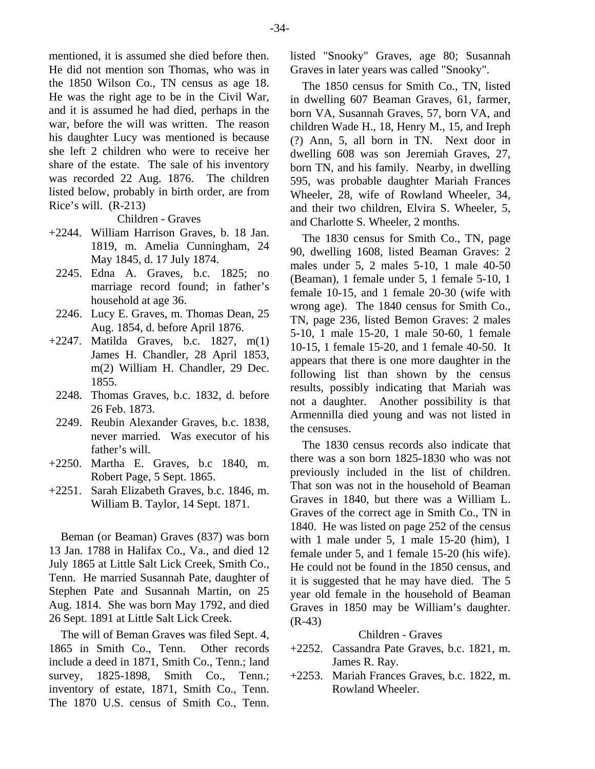mentioned, it is assumed she died before then. He did not mention son Thomas, who was in the 1850 Wilson Co., TN census as age 18. He was the right age to be in the Civil War, and it is assumed he had died, perhaps in the war, before the will was written. The reason his daughter Lucy was mentioned is because she left 2 children who were to receive her share of the estate. The sale of his inventory was recorded 22 Aug. 1876. The children listed below, probably in birth order, are from Rice's will. (R-213)

Children - Graves

- +2244. William Harrison Graves, b. 18 Jan. 1819, m. Amelia Cunningham, 24 May 1845, d. 17 July 1874.
	- 2245. Edna A. Graves, b.c. 1825; no marriage record found; in father's household at age 36.
	- 2246. Lucy E. Graves, m. Thomas Dean, 25 Aug. 1854, d. before April 1876.
- +2247. Matilda Graves, b.c. 1827, m(1) James H. Chandler, 28 April 1853, m(2) William H. Chandler, 29 Dec. 1855.
	- 2248. Thomas Graves, b.c. 1832, d. before 26 Feb. 1873.
- 2249. Reubin Alexander Graves, b.c. 1838, never married. Was executor of his father's will.
- +2250. Martha E. Graves, b.c 1840, m. Robert Page, 5 Sept. 1865.
- +2251. Sarah Elizabeth Graves, b.c. 1846, m. William B. Taylor, 14 Sept. 1871.

Beman (or Beaman) Graves (837) was born 13 Jan. 1788 in Halifax Co., Va., and died 12 July 1865 at Little Salt Lick Creek, Smith Co., Tenn. He married Susannah Pate, daughter of Stephen Pate and Susannah Martin, on 25 Aug. 1814. She was born May 1792, and died 26 Sept. 1891 at Little Salt Lick Creek.

The will of Beman Graves was filed Sept. 4, 1865 in Smith Co., Tenn. Other records include a deed in 1871, Smith Co., Tenn.; land survey, 1825-1898, Smith Co., Tenn.; inventory of estate, 1871, Smith Co., Tenn. The 1870 U.S. census of Smith Co., Tenn.

listed "Snooky" Graves, age 80; Susannah Graves in later years was called "Snooky".

The 1850 census for Smith Co., TN, listed in dwelling 607 Beaman Graves, 61, farmer, born VA, Susannah Graves, 57, born VA, and children Wade H., 18, Henry M., 15, and Ireph (?) Ann, 5, all born in TN. Next door in dwelling 608 was son Jeremiah Graves, 27, born TN, and his family. Nearby, in dwelling 595, was probable daughter Mariah Frances Wheeler, 28, wife of Rowland Wheeler, 34, and their two children, Elvira S. Wheeler, 5, and Charlotte S. Wheeler, 2 months.

The 1830 census for Smith Co., TN, page 90, dwelling 1608, listed Beaman Graves: 2 males under 5, 2 males 5-10, 1 male 40-50 (Beaman), 1 female under 5, 1 female 5-10, 1 female 10-15, and 1 female 20-30 (wife with wrong age). The 1840 census for Smith Co., TN, page 236, listed Bemon Graves: 2 males 5-10, 1 male 15-20, 1 male 50-60, 1 female 10-15, 1 female 15-20, and 1 female 40-50. It appears that there is one more daughter in the following list than shown by the census results, possibly indicating that Mariah was not a daughter. Another possibility is that Armennilla died young and was not listed in the censuses.

The 1830 census records also indicate that there was a son born 1825-1830 who was not previously included in the list of children. That son was not in the household of Beaman Graves in 1840, but there was a William L. Graves of the correct age in Smith Co., TN in 1840. He was listed on page 252 of the census with 1 male under 5, 1 male 15-20 (him), 1 female under 5, and 1 female 15-20 (his wife). He could not be found in the 1850 census, and it is suggested that he may have died. The 5 year old female in the household of Beaman Graves in 1850 may be William's daughter. (R-43)

#### Children - Graves

- +2252. Cassandra Pate Graves, b.c. 1821, m. James R. Ray.
- +2253. Mariah Frances Graves, b.c. 1822, m. Rowland Wheeler.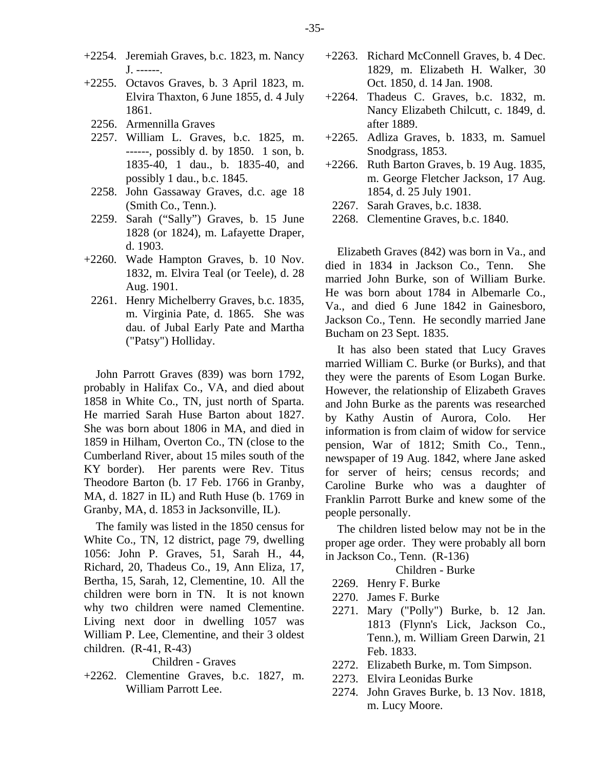- +2254. Jeremiah Graves, b.c. 1823, m. Nancy  $J.$  ------.
- +2255. Octavos Graves, b. 3 April 1823, m. Elvira Thaxton, 6 June 1855, d. 4 July 1861.
	- 2256. Armennilla Graves
	- 2257. William L. Graves, b.c. 1825, m. ------, possibly d. by 1850. 1 son, b. 1835-40, 1 dau., b. 1835-40, and possibly 1 dau., b.c. 1845.
	- 2258. John Gassaway Graves, d.c. age 18 (Smith Co., Tenn.).
	- 2259. Sarah ("Sally") Graves, b. 15 June 1828 (or 1824), m. Lafayette Draper, d. 1903.
- +2260. Wade Hampton Graves, b. 10 Nov. 1832, m. Elvira Teal (or Teele), d. 28 Aug. 1901.
	- 2261. Henry Michelberry Graves, b.c. 1835, m. Virginia Pate, d. 1865. She was dau. of Jubal Early Pate and Martha ("Patsy") Holliday.

John Parrott Graves (839) was born 1792, probably in Halifax Co., VA, and died about 1858 in White Co., TN, just north of Sparta. He married Sarah Huse Barton about 1827. She was born about 1806 in MA, and died in 1859 in Hilham, Overton Co., TN (close to the Cumberland River, about 15 miles south of the KY border). Her parents were Rev. Titus Theodore Barton (b. 17 Feb. 1766 in Granby, MA, d. 1827 in IL) and Ruth Huse (b. 1769 in Granby, MA, d. 1853 in Jacksonville, IL).

The family was listed in the 1850 census for White Co., TN, 12 district, page 79, dwelling 1056: John P. Graves, 51, Sarah H., 44, Richard, 20, Thadeus Co., 19, Ann Eliza, 17, Bertha, 15, Sarah, 12, Clementine, 10. All the children were born in TN. It is not known why two children were named Clementine. Living next door in dwelling 1057 was William P. Lee, Clementine, and their 3 oldest children. (R-41, R-43)

Children - Graves

+2262. Clementine Graves, b.c. 1827, m. William Parrott Lee.

- +2263. Richard McConnell Graves, b. 4 Dec. 1829, m. Elizabeth H. Walker, 30 Oct. 1850, d. 14 Jan. 1908.
- +2264. Thadeus C. Graves, b.c. 1832, m. Nancy Elizabeth Chilcutt, c. 1849, d. after 1889.
- +2265. Adliza Graves, b. 1833, m. Samuel Snodgrass, 1853.
- +2266. Ruth Barton Graves, b. 19 Aug. 1835, m. George Fletcher Jackson, 17 Aug. 1854, d. 25 July 1901.
	- 2267. Sarah Graves, b.c. 1838.
	- 2268. Clementine Graves, b.c. 1840.

Elizabeth Graves (842) was born in Va., and died in 1834 in Jackson Co., Tenn. She married John Burke, son of William Burke. He was born about 1784 in Albemarle Co., Va., and died 6 June 1842 in Gainesboro, Jackson Co., Tenn. He secondly married Jane Bucham on 23 Sept. 1835.

It has also been stated that Lucy Graves married William C. Burke (or Burks), and that they were the parents of Esom Logan Burke. However, the relationship of Elizabeth Graves and John Burke as the parents was researched by Kathy Austin of Aurora, Colo. Her information is from claim of widow for service pension, War of 1812; Smith Co., Tenn., newspaper of 19 Aug. 1842, where Jane asked for server of heirs; census records; and Caroline Burke who was a daughter of Franklin Parrott Burke and knew some of the people personally.

The children listed below may not be in the proper age order. They were probably all born in Jackson Co., Tenn. (R-136)

Children - Burke

- 2269. Henry F. Burke
- 2270. James F. Burke
- 2271. Mary ("Polly") Burke, b. 12 Jan. 1813 (Flynn's Lick, Jackson Co., Tenn.), m. William Green Darwin, 21 Feb. 1833.
- 2272. Elizabeth Burke, m. Tom Simpson.
- 2273. Elvira Leonidas Burke
- 2274. John Graves Burke, b. 13 Nov. 1818, m. Lucy Moore.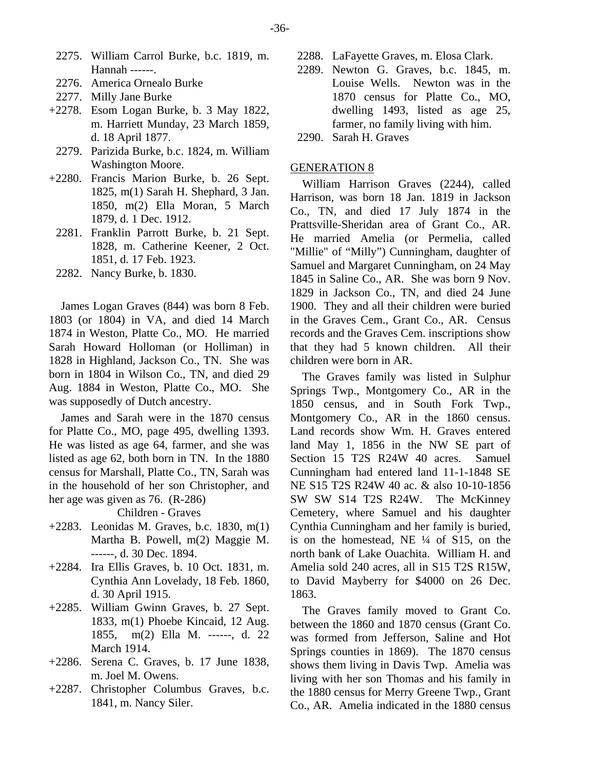- 2275. William Carrol Burke, b.c. 1819, m. Hannah ------.
- 2276. America Ornealo Burke
- 2277. Milly Jane Burke
- +2278. Esom Logan Burke, b. 3 May 1822, m. Harriett Munday, 23 March 1859, d. 18 April 1877.
- 2279. Parizida Burke, b.c. 1824, m. William Washington Moore.
- +2280. Francis Marion Burke, b. 26 Sept. 1825, m(1) Sarah H. Shephard, 3 Jan. 1850, m(2) Ella Moran, 5 March 1879, d. 1 Dec. 1912.
- 2281. Franklin Parrott Burke, b. 21 Sept. 1828, m. Catherine Keener, 2 Oct. 1851, d. 17 Feb. 1923.
- 2282. Nancy Burke, b. 1830.

James Logan Graves (844) was born 8 Feb. 1803 (or 1804) in VA, and died 14 March 1874 in Weston, Platte Co., MO. He married Sarah Howard Holloman (or Holliman) in 1828 in Highland, Jackson Co., TN. She was born in 1804 in Wilson Co., TN, and died 29 Aug. 1884 in Weston, Platte Co., MO. She was supposedly of Dutch ancestry.

James and Sarah were in the 1870 census for Platte Co., MO, page 495, dwelling 1393. He was listed as age 64, farmer, and she was listed as age 62, both born in TN. In the 1880 census for Marshall, Platte Co., TN, Sarah was in the household of her son Christopher, and her age was given as 76. (R-286)

Children - Graves

- +2283. Leonidas M. Graves, b.c. 1830, m(1) Martha B. Powell, m(2) Maggie M. ------, d. 30 Dec. 1894.
- +2284. Ira Ellis Graves, b. 10 Oct. 1831, m. Cynthia Ann Lovelady, 18 Feb. 1860, d. 30 April 1915.
- +2285. William Gwinn Graves, b. 27 Sept. 1833, m(1) Phoebe Kincaid, 12 Aug. 1855, m(2) Ella M. ------, d. 22 March 1914.
- +2286. Serena C. Graves, b. 17 June 1838, m. Joel M. Owens.
- +2287. Christopher Columbus Graves, b.c. 1841, m. Nancy Siler.
- 2288. LaFayette Graves, m. Elosa Clark.
- 2289. Newton G. Graves, b.c. 1845, m. Louise Wells. Newton was in the 1870 census for Platte Co., MO, dwelling 1493, listed as age 25, farmer, no family living with him.
- 2290. Sarah H. Graves

#### GENERATION 8

William Harrison Graves (2244), called Harrison, was born 18 Jan. 1819 in Jackson Co., TN, and died 17 July 1874 in the Prattsville-Sheridan area of Grant Co., AR. He married Amelia (or Permelia, called "Millie" of "Milly") Cunningham, daughter of Samuel and Margaret Cunningham, on 24 May 1845 in Saline Co., AR. She was born 9 Nov. 1829 in Jackson Co., TN, and died 24 June 1900. They and all their children were buried in the Graves Cem., Grant Co., AR. Census records and the Graves Cem. inscriptions show that they had 5 known children. All their children were born in AR.

The Graves family was listed in Sulphur Springs Twp., Montgomery Co., AR in the 1850 census, and in South Fork Twp., Montgomery Co., AR in the 1860 census. Land records show Wm. H. Graves entered land May 1, 1856 in the NW SE part of Section 15 T2S R24W 40 acres. Samuel Cunningham had entered land 11-1-1848 SE NE S15 T2S R24W 40 ac. & also 10-10-1856 SW SW S14 T2S R24W. The McKinney Cemetery, where Samuel and his daughter Cynthia Cunningham and her family is buried, is on the homestead, NE ¼ of S15, on the north bank of Lake Ouachita. William H. and Amelia sold 240 acres, all in S15 T2S R15W, to David Mayberry for \$4000 on 26 Dec. 1863.

The Graves family moved to Grant Co. between the 1860 and 1870 census (Grant Co. was formed from Jefferson, Saline and Hot Springs counties in 1869). The 1870 census shows them living in Davis Twp. Amelia was living with her son Thomas and his family in the 1880 census for Merry Greene Twp., Grant Co., AR. Amelia indicated in the 1880 census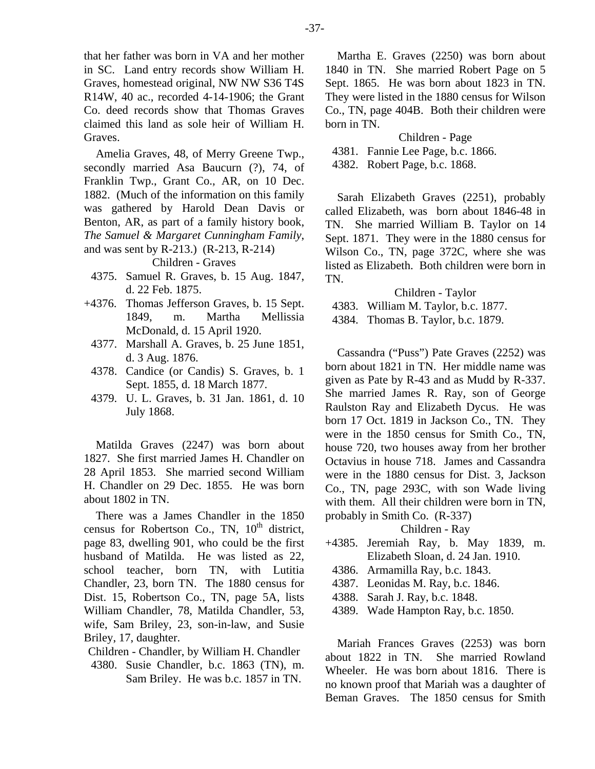that her father was born in VA and her mother in SC. Land entry records show William H. Graves, homestead original, NW NW S36 T4S R14W, 40 ac., recorded 4-14-1906; the Grant Co. deed records show that Thomas Graves claimed this land as sole heir of William H. Graves.

Amelia Graves, 48, of Merry Greene Twp., secondly married Asa Baucurn (?), 74, of Franklin Twp., Grant Co., AR, on 10 Dec. 1882. (Much of the information on this family was gathered by Harold Dean Davis or Benton, AR, as part of a family history book, *The Samuel & Margaret Cunningham Family*, and was sent by R-213.) (R-213, R-214)

Children - Graves

- 4375. Samuel R. Graves, b. 15 Aug. 1847, d. 22 Feb. 1875.
- +4376. Thomas Jefferson Graves, b. 15 Sept. 1849, m. Martha Mellissia McDonald, d. 15 April 1920.
	- 4377. Marshall A. Graves, b. 25 June 1851, d. 3 Aug. 1876.
	- 4378. Candice (or Candis) S. Graves, b. 1 Sept. 1855, d. 18 March 1877.
	- 4379. U. L. Graves, b. 31 Jan. 1861, d. 10 July 1868.

Matilda Graves (2247) was born about 1827. She first married James H. Chandler on 28 April 1853. She married second William H. Chandler on 29 Dec. 1855. He was born about 1802 in TN.

There was a James Chandler in the 1850 census for Robertson Co., TN,  $10^{th}$  district, page 83, dwelling 901, who could be the first husband of Matilda. He was listed as 22, school teacher, born TN, with Lutitia Chandler, 23, born TN. The 1880 census for Dist. 15, Robertson Co., TN, page 5A, lists William Chandler, 78, Matilda Chandler, 53, wife, Sam Briley, 23, son-in-law, and Susie Briley, 17, daughter.

Children - Chandler, by William H. Chandler 4380. Susie Chandler, b.c. 1863 (TN), m. Sam Briley. He was b.c. 1857 in TN.

Martha E. Graves (2250) was born about 1840 in TN. She married Robert Page on 5 Sept. 1865. He was born about 1823 in TN. They were listed in the 1880 census for Wilson Co., TN, page 404B. Both their children were born in TN.

Children - Page 4381. Fannie Lee Page, b.c. 1866. 4382. Robert Page, b.c. 1868.

Sarah Elizabeth Graves (2251), probably called Elizabeth, was born about 1846-48 in TN. She married William B. Taylor on 14 Sept. 1871. They were in the 1880 census for Wilson Co., TN, page 372C, where she was listed as Elizabeth. Both children were born in TN.

Children - Taylor

4383. William M. Taylor, b.c. 1877.

4384. Thomas B. Taylor, b.c. 1879.

Cassandra ("Puss") Pate Graves (2252) was born about 1821 in TN. Her middle name was given as Pate by R-43 and as Mudd by R-337. She married James R. Ray, son of George Raulston Ray and Elizabeth Dycus. He was born 17 Oct. 1819 in Jackson Co., TN. They were in the 1850 census for Smith Co., TN, house 720, two houses away from her brother Octavius in house 718. James and Cassandra were in the 1880 census for Dist. 3, Jackson Co., TN, page 293C, with son Wade living with them. All their children were born in TN, probably in Smith Co. (R-337)

Children - Ray

- +4385. Jeremiah Ray, b. May 1839, m. Elizabeth Sloan, d. 24 Jan. 1910.
- 4386. Armamilla Ray, b.c. 1843.
- 4387. Leonidas M. Ray, b.c. 1846.
- 4388. Sarah J. Ray, b.c. 1848.
- 4389. Wade Hampton Ray, b.c. 1850.

Mariah Frances Graves (2253) was born about 1822 in TN. She married Rowland Wheeler. He was born about 1816. There is no known proof that Mariah was a daughter of Beman Graves. The 1850 census for Smith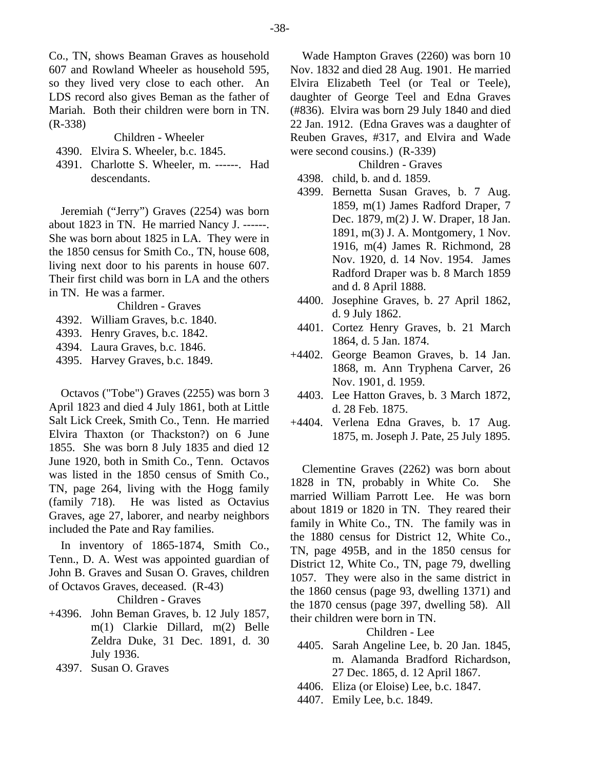Co., TN, shows Beaman Graves as household 607 and Rowland Wheeler as household 595, so they lived very close to each other. An LDS record also gives Beman as the father of Mariah. Both their children were born in TN. (R-338)

Children - Wheeler

- 4390. Elvira S. Wheeler, b.c. 1845.
- 4391. Charlotte S. Wheeler, m. ------. Had descendants.

Jeremiah ("Jerry") Graves (2254) was born about 1823 in TN. He married Nancy J. ------. She was born about 1825 in LA. They were in the 1850 census for Smith Co., TN, house 608, living next door to his parents in house 607. Their first child was born in LA and the others in TN. He was a farmer.

Children - Graves

- 4392. William Graves, b.c. 1840.
- 4393. Henry Graves, b.c. 1842.
- 4394. Laura Graves, b.c. 1846.
- 4395. Harvey Graves, b.c. 1849.

Octavos ("Tobe") Graves (2255) was born 3 April 1823 and died 4 July 1861, both at Little Salt Lick Creek, Smith Co., Tenn. He married Elvira Thaxton (or Thackston?) on 6 June 1855. She was born 8 July 1835 and died 12 June 1920, both in Smith Co., Tenn. Octavos was listed in the 1850 census of Smith Co., TN, page 264, living with the Hogg family (family 718). He was listed as Octavius Graves, age 27, laborer, and nearby neighbors included the Pate and Ray families.

In inventory of 1865-1874, Smith Co., Tenn., D. A. West was appointed guardian of John B. Graves and Susan O. Graves, children of Octavos Graves, deceased. (R-43)

Children - Graves

- +4396. John Beman Graves, b. 12 July 1857, m(1) Clarkie Dillard, m(2) Belle Zeldra Duke, 31 Dec. 1891, d. 30 July 1936.
- 4397. Susan O. Graves

Wade Hampton Graves (2260) was born 10 Nov. 1832 and died 28 Aug. 1901. He married Elvira Elizabeth Teel (or Teal or Teele), daughter of George Teel and Edna Graves (#836). Elvira was born 29 July 1840 and died 22 Jan. 1912. (Edna Graves was a daughter of Reuben Graves, #317, and Elvira and Wade were second cousins.) (R-339)

Children - Graves

- 4398. child, b. and d. 1859.
- 4399. Bernetta Susan Graves, b. 7 Aug. 1859, m(1) James Radford Draper, 7 Dec. 1879, m(2) J. W. Draper, 18 Jan. 1891, m(3) J. A. Montgomery, 1 Nov. 1916, m(4) James R. Richmond, 28 Nov. 1920, d. 14 Nov. 1954. James Radford Draper was b. 8 March 1859 and d. 8 April 1888.
- 4400. Josephine Graves, b. 27 April 1862, d. 9 July 1862.
- 4401. Cortez Henry Graves, b. 21 March 1864, d. 5 Jan. 1874.
- +4402. George Beamon Graves, b. 14 Jan. 1868, m. Ann Tryphena Carver, 26 Nov. 1901, d. 1959.
	- 4403. Lee Hatton Graves, b. 3 March 1872, d. 28 Feb. 1875.
- +4404. Verlena Edna Graves, b. 17 Aug. 1875, m. Joseph J. Pate, 25 July 1895.

Clementine Graves (2262) was born about 1828 in TN, probably in White Co. She married William Parrott Lee. He was born about 1819 or 1820 in TN. They reared their family in White Co., TN. The family was in the 1880 census for District 12, White Co., TN, page 495B, and in the 1850 census for District 12, White Co., TN, page 79, dwelling 1057. They were also in the same district in the 1860 census (page 93, dwelling 1371) and the 1870 census (page 397, dwelling 58). All their children were born in TN.

# Children - Lee

- 4405. Sarah Angeline Lee, b. 20 Jan. 1845, m. Alamanda Bradford Richardson, 27 Dec. 1865, d. 12 April 1867.
- 4406. Eliza (or Eloise) Lee, b.c. 1847.
- 4407. Emily Lee, b.c. 1849.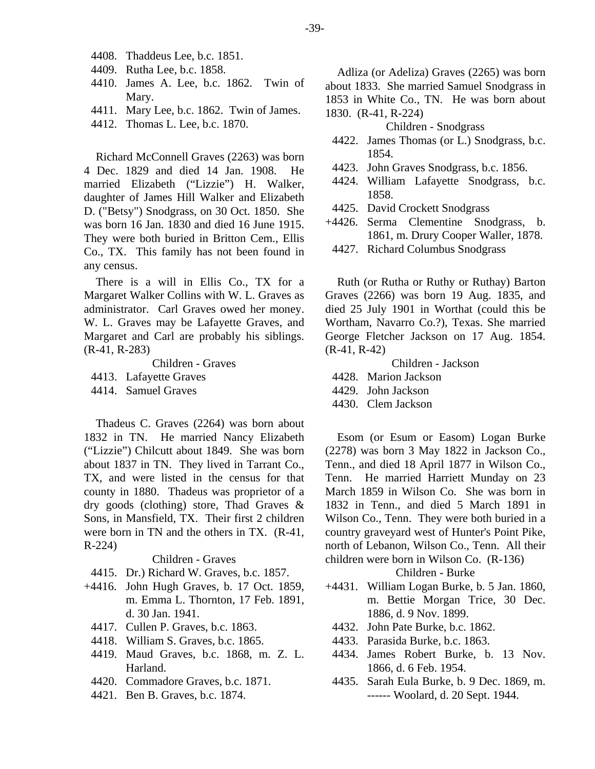- 4408. Thaddeus Lee, b.c. 1851.
- 4409. Rutha Lee, b.c. 1858.
- 4410. James A. Lee, b.c. 1862. Twin of Mary.
- 4411. Mary Lee, b.c. 1862. Twin of James.
- 4412. Thomas L. Lee, b.c. 1870.

Richard McConnell Graves (2263) was born 4 Dec. 1829 and died 14 Jan. 1908. He married Elizabeth ("Lizzie") H. Walker, daughter of James Hill Walker and Elizabeth D. ("Betsy") Snodgrass, on 30 Oct. 1850. She was born 16 Jan. 1830 and died 16 June 1915. They were both buried in Britton Cem., Ellis Co., TX. This family has not been found in any census.

There is a will in Ellis Co., TX for a Margaret Walker Collins with W. L. Graves as administrator. Carl Graves owed her money. W. L. Graves may be Lafayette Graves, and Margaret and Carl are probably his siblings. (R-41, R-283)

Children - Graves

- 4413. Lafayette Graves
- 4414. Samuel Graves

Thadeus C. Graves (2264) was born about 1832 in TN. He married Nancy Elizabeth ("Lizzie") Chilcutt about 1849. She was born about 1837 in TN. They lived in Tarrant Co., TX, and were listed in the census for that county in 1880. Thadeus was proprietor of a dry goods (clothing) store, Thad Graves & Sons, in Mansfield, TX. Their first 2 children were born in TN and the others in TX. (R-41, R-224)

#### Children - Graves

- 4415. Dr.) Richard W. Graves, b.c. 1857.
- +4416. John Hugh Graves, b. 17 Oct. 1859, m. Emma L. Thornton, 17 Feb. 1891, d. 30 Jan. 1941.
	- 4417. Cullen P. Graves, b.c. 1863.
	- 4418. William S. Graves, b.c. 1865.
	- 4419. Maud Graves, b.c. 1868, m. Z. L. Harland.
	- 4420. Commadore Graves, b.c. 1871.
	- 4421. Ben B. Graves, b.c. 1874.

Adliza (or Adeliza) Graves (2265) was born about 1833. She married Samuel Snodgrass in 1853 in White Co., TN. He was born about 1830. (R-41, R-224)

Children - Snodgrass

- 4422. James Thomas (or L.) Snodgrass, b.c. 1854.
- 4423. John Graves Snodgrass, b.c. 1856.
- 4424. William Lafayette Snodgrass, b.c. 1858.
- 4425. David Crockett Snodgrass
- +4426. Serma Clementine Snodgrass, b. 1861, m. Drury Cooper Waller, 1878.
	- 4427. Richard Columbus Snodgrass

Ruth (or Rutha or Ruthy or Ruthay) Barton Graves (2266) was born 19 Aug. 1835, and died 25 July 1901 in Worthat (could this be Wortham, Navarro Co.?), Texas. She married George Fletcher Jackson on 17 Aug. 1854. (R-41, R-42)

- Children Jackson
- 4428. Marion Jackson
- 4429. John Jackson
- 4430. Clem Jackson

Esom (or Esum or Easom) Logan Burke (2278) was born 3 May 1822 in Jackson Co., Tenn., and died 18 April 1877 in Wilson Co., Tenn. He married Harriett Munday on 23 March 1859 in Wilson Co. She was born in 1832 in Tenn., and died 5 March 1891 in Wilson Co., Tenn. They were both buried in a country graveyard west of Hunter's Point Pike, north of Lebanon, Wilson Co., Tenn. All their children were born in Wilson Co. (R-136)

Children - Burke

- +4431. William Logan Burke, b. 5 Jan. 1860, m. Bettie Morgan Trice, 30 Dec. 1886, d. 9 Nov. 1899.
	- 4432. John Pate Burke, b.c. 1862.
- 4433. Parasida Burke, b.c. 1863.
- 4434. James Robert Burke, b. 13 Nov. 1866, d. 6 Feb. 1954.
- 4435. Sarah Eula Burke, b. 9 Dec. 1869, m. ------ Woolard, d. 20 Sept. 1944.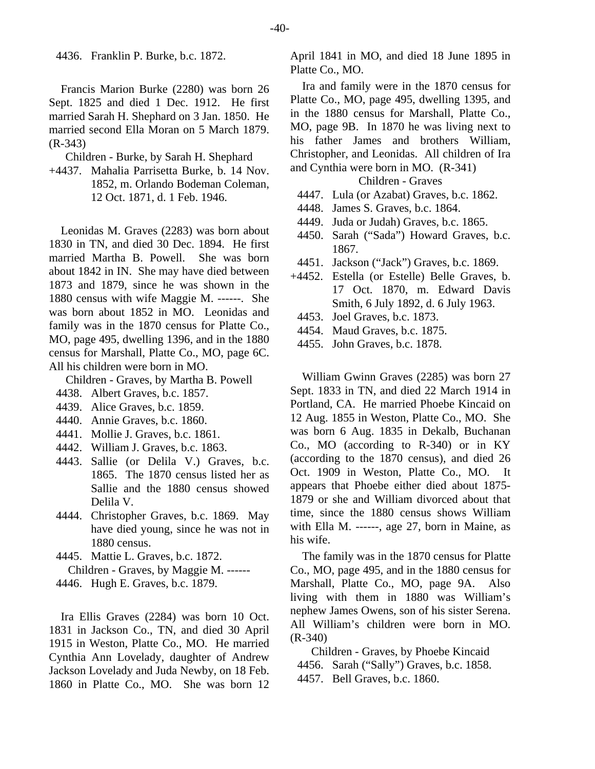-40-

4436. Franklin P. Burke, b.c. 1872.

Francis Marion Burke (2280) was born 26 Sept. 1825 and died 1 Dec. 1912. He first married Sarah H. Shephard on 3 Jan. 1850. He married second Ella Moran on 5 March 1879. (R-343)

Children - Burke, by Sarah H. Shephard

+4437. Mahalia Parrisetta Burke, b. 14 Nov. 1852, m. Orlando Bodeman Coleman, 12 Oct. 1871, d. 1 Feb. 1946.

Leonidas M. Graves (2283) was born about 1830 in TN, and died 30 Dec. 1894. He first married Martha B. Powell. She was born about 1842 in IN. She may have died between 1873 and 1879, since he was shown in the 1880 census with wife Maggie M. ------. She was born about 1852 in MO. Leonidas and family was in the 1870 census for Platte Co., MO, page 495, dwelling 1396, and in the 1880 census for Marshall, Platte Co., MO, page 6C. All his children were born in MO.

Children - Graves, by Martha B. Powell

- 4438. Albert Graves, b.c. 1857.
- 4439. Alice Graves, b.c. 1859.
- 4440. Annie Graves, b.c. 1860.
- 4441. Mollie J. Graves, b.c. 1861.
- 4442. William J. Graves, b.c. 1863.
- 4443. Sallie (or Delila V.) Graves, b.c. 1865. The 1870 census listed her as Sallie and the 1880 census showed Delila V.
- 4444. Christopher Graves, b.c. 1869. May have died young, since he was not in 1880 census.
- 4445. Mattie L. Graves, b.c. 1872. Children - Graves, by Maggie M. ------
- 4446. Hugh E. Graves, b.c. 1879.

Ira Ellis Graves (2284) was born 10 Oct. 1831 in Jackson Co., TN, and died 30 April 1915 in Weston, Platte Co., MO. He married Cynthia Ann Lovelady, daughter of Andrew Jackson Lovelady and Juda Newby, on 18 Feb. 1860 in Platte Co., MO. She was born 12 April 1841 in MO, and died 18 June 1895 in Platte Co., MO.

Ira and family were in the 1870 census for Platte Co., MO, page 495, dwelling 1395, and in the 1880 census for Marshall, Platte Co., MO, page 9B. In 1870 he was living next to his father James and brothers William, Christopher, and Leonidas. All children of Ira and Cynthia were born in MO. (R-341)

# Children - Graves

- 4447. Lula (or Azabat) Graves, b.c. 1862.
- 4448. James S. Graves, b.c. 1864.
- 4449. Juda or Judah) Graves, b.c. 1865.
- 4450. Sarah ("Sada") Howard Graves, b.c. 1867.
- 4451. Jackson ("Jack") Graves, b.c. 1869.
- +4452. Estella (or Estelle) Belle Graves, b. 17 Oct. 1870, m. Edward Davis Smith, 6 July 1892, d. 6 July 1963.
	- 4453. Joel Graves, b.c. 1873.
- 4454. Maud Graves, b.c. 1875.
- 4455. John Graves, b.c. 1878.

William Gwinn Graves (2285) was born 27 Sept. 1833 in TN, and died 22 March 1914 in Portland, CA. He married Phoebe Kincaid on 12 Aug. 1855 in Weston, Platte Co., MO. She was born 6 Aug. 1835 in Dekalb, Buchanan Co., MO (according to R-340) or in KY (according to the 1870 census), and died 26 Oct. 1909 in Weston, Platte Co., MO. It appears that Phoebe either died about 1875- 1879 or she and William divorced about that time, since the 1880 census shows William with Ella M. ------, age 27, born in Maine, as his wife.

The family was in the 1870 census for Platte Co., MO, page 495, and in the 1880 census for Marshall, Platte Co., MO, page 9A. Also living with them in 1880 was William's nephew James Owens, son of his sister Serena. All William's children were born in MO. (R-340)

Children - Graves, by Phoebe Kincaid

- 4456. Sarah ("Sally") Graves, b.c. 1858.
- 4457. Bell Graves, b.c. 1860.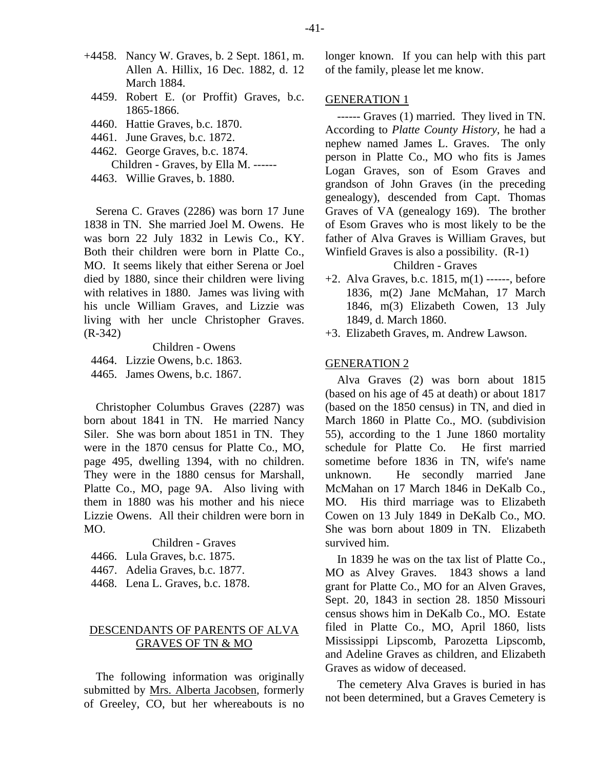- +4458. Nancy W. Graves, b. 2 Sept. 1861, m. Allen A. Hillix, 16 Dec. 1882, d. 12 March 1884.
	- 4459. Robert E. (or Proffit) Graves, b.c. 1865-1866.
	- 4460. Hattie Graves, b.c. 1870.
	- 4461. June Graves, b.c. 1872.
	- 4462. George Graves, b.c. 1874. Children - Graves, by Ella M. ------
	- 4463. Willie Graves, b. 1880.

Serena C. Graves (2286) was born 17 June 1838 in TN. She married Joel M. Owens. He was born 22 July 1832 in Lewis Co., KY. Both their children were born in Platte Co., MO. It seems likely that either Serena or Joel died by 1880, since their children were living with relatives in 1880. James was living with his uncle William Graves, and Lizzie was living with her uncle Christopher Graves. (R-342)

Children - Owens 4464. Lizzie Owens, b.c. 1863. 4465. James Owens, b.c. 1867.

Christopher Columbus Graves (2287) was born about 1841 in TN. He married Nancy Siler. She was born about 1851 in TN. They were in the 1870 census for Platte Co., MO, page 495, dwelling 1394, with no children. They were in the 1880 census for Marshall, Platte Co., MO, page 9A. Also living with them in 1880 was his mother and his niece Lizzie Owens. All their children were born in MO.

Children - Graves 4466. Lula Graves, b.c. 1875. 4467. Adelia Graves, b.c. 1877. 4468. Lena L. Graves, b.c. 1878.

# DESCENDANTS OF PARENTS OF ALVA GRAVES OF TN & MO

The following information was originally submitted by Mrs. Alberta Jacobsen, formerly of Greeley, CO, but her whereabouts is no longer known. If you can help with this part of the family, please let me know.

#### GENERATION 1

------ Graves (1) married. They lived in TN. According to *Platte County History*, he had a nephew named James L. Graves. The only person in Platte Co., MO who fits is James Logan Graves, son of Esom Graves and grandson of John Graves (in the preceding genealogy), descended from Capt. Thomas Graves of VA (genealogy 169). The brother of Esom Graves who is most likely to be the father of Alva Graves is William Graves, but Winfield Graves is also a possibility. (R-1)

Children - Graves

- +2. Alva Graves, b.c. 1815, m(1) ------, before 1836, m(2) Jane McMahan, 17 March 1846, m(3) Elizabeth Cowen, 13 July 1849, d. March 1860.
- +3. Elizabeth Graves, m. Andrew Lawson.

#### GENERATION 2

Alva Graves (2) was born about 1815 (based on his age of 45 at death) or about 1817 (based on the 1850 census) in TN, and died in March 1860 in Platte Co., MO. (subdivision 55), according to the 1 June 1860 mortality schedule for Platte Co. He first married sometime before 1836 in TN, wife's name unknown. He secondly married Jane McMahan on 17 March 1846 in DeKalb Co., MO. His third marriage was to Elizabeth Cowen on 13 July 1849 in DeKalb Co., MO. She was born about 1809 in TN. Elizabeth survived him.

In 1839 he was on the tax list of Platte Co., MO as Alvey Graves. 1843 shows a land grant for Platte Co., MO for an Alven Graves, Sept. 20, 1843 in section 28. 1850 Missouri census shows him in DeKalb Co., MO. Estate filed in Platte Co., MO, April 1860, lists Mississippi Lipscomb, Parozetta Lipscomb, and Adeline Graves as children, and Elizabeth Graves as widow of deceased.

The cemetery Alva Graves is buried in has not been determined, but a Graves Cemetery is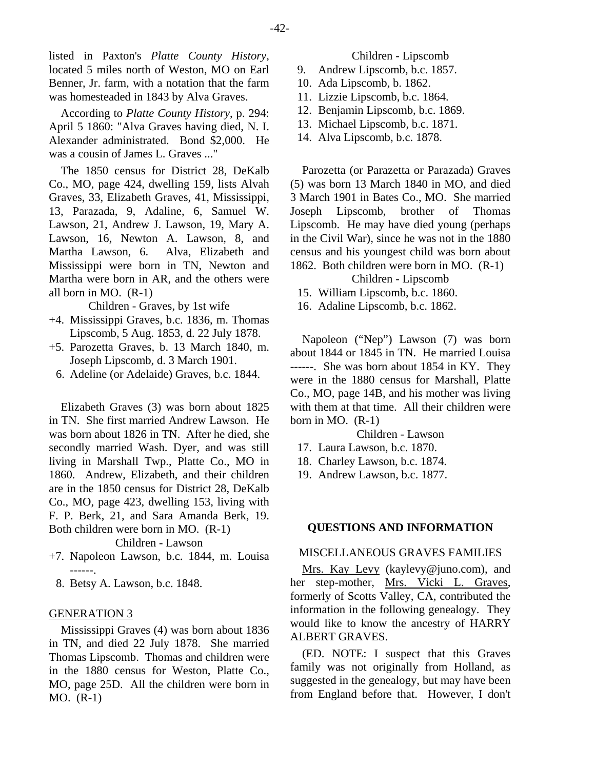listed in Paxton's *Platte County History*,

located 5 miles north of Weston, MO on Earl Benner, Jr. farm, with a notation that the farm was homesteaded in 1843 by Alva Graves.

According to *Platte County History*, p. 294: April 5 1860: "Alva Graves having died, N. I. Alexander administrated. Bond \$2,000. He was a cousin of James L. Graves ..."

The 1850 census for District 28, DeKalb Co., MO, page 424, dwelling 159, lists Alvah Graves, 33, Elizabeth Graves, 41, Mississippi, 13, Parazada, 9, Adaline, 6, Samuel W. Lawson, 21, Andrew J. Lawson, 19, Mary A. Lawson, 16, Newton A. Lawson, 8, and Martha Lawson, 6. Alva, Elizabeth and Mississippi were born in TN, Newton and Martha were born in AR, and the others were all born in MO. (R-1)

Children - Graves, by 1st wife

- +4. Mississippi Graves, b.c. 1836, m. Thomas Lipscomb, 5 Aug. 1853, d. 22 July 1878.
- +5. Parozetta Graves, b. 13 March 1840, m. Joseph Lipscomb, d. 3 March 1901.
	- 6. Adeline (or Adelaide) Graves, b.c. 1844.

Elizabeth Graves (3) was born about 1825 in TN. She first married Andrew Lawson. He was born about 1826 in TN. After he died, she secondly married Wash. Dyer, and was still living in Marshall Twp., Platte Co., MO in 1860. Andrew, Elizabeth, and their children are in the 1850 census for District 28, DeKalb Co., MO, page 423, dwelling 153, living with F. P. Berk, 21, and Sara Amanda Berk, 19. Both children were born in MO. (R-1)

Children - Lawson

- +7. Napoleon Lawson, b.c. 1844, m. Louisa ------.
	- 8. Betsy A. Lawson, b.c. 1848.

#### GENERATION 3

Mississippi Graves (4) was born about 1836 in TN, and died 22 July 1878. She married Thomas Lipscomb. Thomas and children were in the 1880 census for Weston, Platte Co., MO, page 25D. All the children were born in MO. (R-1)

- 9. Andrew Lipscomb, b.c. 1857.
- 10. Ada Lipscomb, b. 1862.
- 11. Lizzie Lipscomb, b.c. 1864.
- 12. Benjamin Lipscomb, b.c. 1869.
- 13. Michael Lipscomb, b.c. 1871.
- 14. Alva Lipscomb, b.c. 1878.

Parozetta (or Parazetta or Parazada) Graves (5) was born 13 March 1840 in MO, and died 3 March 1901 in Bates Co., MO. She married Joseph Lipscomb, brother of Thomas Lipscomb. He may have died young (perhaps in the Civil War), since he was not in the 1880 census and his youngest child was born about 1862. Both children were born in MO. (R-1)

# Children - Lipscomb

- 15. William Lipscomb, b.c. 1860.
- 16. Adaline Lipscomb, b.c. 1862.

Napoleon ("Nep") Lawson (7) was born about 1844 or 1845 in TN. He married Louisa ------. She was born about 1854 in KY. They were in the 1880 census for Marshall, Platte Co., MO, page 14B, and his mother was living with them at that time. All their children were born in MO.  $(R-1)$ 

Children - Lawson

- 17. Laura Lawson, b.c. 1870.
- 18. Charley Lawson, b.c. 1874.
- 19. Andrew Lawson, b.c. 1877.

# **QUESTIONS AND INFORMATION**

## MISCELLANEOUS GRAVES FAMILIES

Mrs. Kay Levy (kaylevy@juno.com), and her step-mother, Mrs. Vicki L. Graves, formerly of Scotts Valley, CA, contributed the information in the following genealogy. They would like to know the ancestry of HARRY ALBERT GRAVES.

(ED. NOTE: I suspect that this Graves family was not originally from Holland, as suggested in the genealogy, but may have been from England before that. However, I don't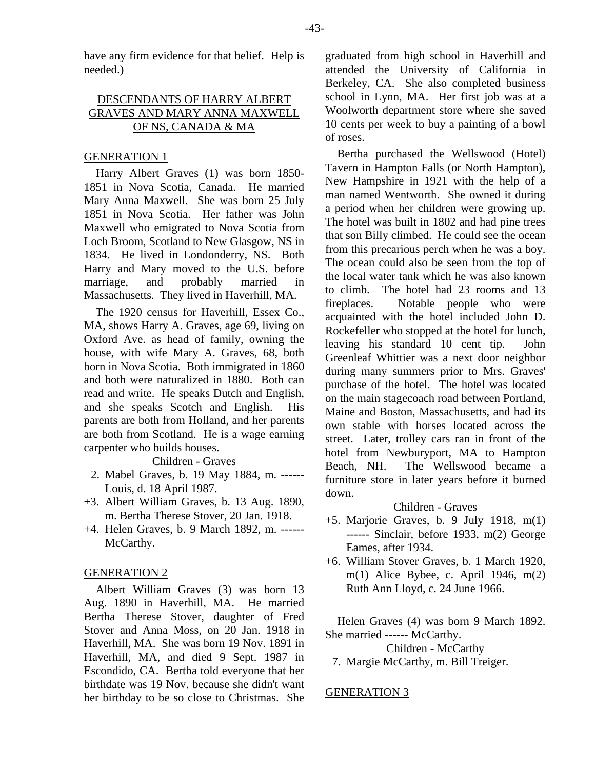have any firm evidence for that belief. Help is needed.)

# DESCENDANTS OF HARRY ALBERT GRAVES AND MARY ANNA MAXWELL OF NS, CANADA & MA

#### GENERATION 1

Harry Albert Graves (1) was born 1850- 1851 in Nova Scotia, Canada. He married Mary Anna Maxwell. She was born 25 July 1851 in Nova Scotia. Her father was John Maxwell who emigrated to Nova Scotia from Loch Broom, Scotland to New Glasgow, NS in 1834. He lived in Londonderry, NS. Both Harry and Mary moved to the U.S. before marriage, and probably married in Massachusetts. They lived in Haverhill, MA.

The 1920 census for Haverhill, Essex Co., MA, shows Harry A. Graves, age 69, living on Oxford Ave. as head of family, owning the house, with wife Mary A. Graves, 68, both born in Nova Scotia. Both immigrated in 1860 and both were naturalized in 1880. Both can read and write. He speaks Dutch and English, and she speaks Scotch and English. His parents are both from Holland, and her parents are both from Scotland. He is a wage earning carpenter who builds houses.

Children - Graves

- 2. Mabel Graves, b. 19 May 1884, m. ------ Louis, d. 18 April 1987.
- +3. Albert William Graves, b. 13 Aug. 1890, m. Bertha Therese Stover, 20 Jan. 1918.
- +4. Helen Graves, b. 9 March 1892, m. ------ McCarthy.

#### GENERATION 2

Albert William Graves (3) was born 13 Aug. 1890 in Haverhill, MA. He married Bertha Therese Stover, daughter of Fred Stover and Anna Moss, on 20 Jan. 1918 in Haverhill, MA. She was born 19 Nov. 1891 in Haverhill, MA, and died 9 Sept. 1987 in Escondido, CA. Bertha told everyone that her birthdate was 19 Nov. because she didn't want her birthday to be so close to Christmas. She graduated from high school in Haverhill and attended the University of California in Berkeley, CA. She also completed business school in Lynn, MA. Her first job was at a Woolworth department store where she saved 10 cents per week to buy a painting of a bowl of roses.

Bertha purchased the Wellswood (Hotel) Tavern in Hampton Falls (or North Hampton), New Hampshire in 1921 with the help of a man named Wentworth. She owned it during a period when her children were growing up. The hotel was built in 1802 and had pine trees that son Billy climbed. He could see the ocean from this precarious perch when he was a boy. The ocean could also be seen from the top of the local water tank which he was also known to climb. The hotel had 23 rooms and 13 fireplaces. Notable people who were acquainted with the hotel included John D. Rockefeller who stopped at the hotel for lunch, leaving his standard 10 cent tip. John Greenleaf Whittier was a next door neighbor during many summers prior to Mrs. Graves' purchase of the hotel. The hotel was located on the main stagecoach road between Portland, Maine and Boston, Massachusetts, and had its own stable with horses located across the street. Later, trolley cars ran in front of the hotel from Newburyport, MA to Hampton Beach, NH. The Wellswood became a furniture store in later years before it burned down.

#### Children - Graves

- +5. Marjorie Graves, b. 9 July 1918, m(1) ------ Sinclair, before 1933, m(2) George Eames, after 1934.
- +6. William Stover Graves, b. 1 March 1920, m(1) Alice Bybee, c. April 1946, m(2) Ruth Ann Lloyd, c. 24 June 1966.

Helen Graves (4) was born 9 March 1892. She married ------ McCarthy.

Children - McCarthy

7. Margie McCarthy, m. Bill Treiger.

#### GENERATION 3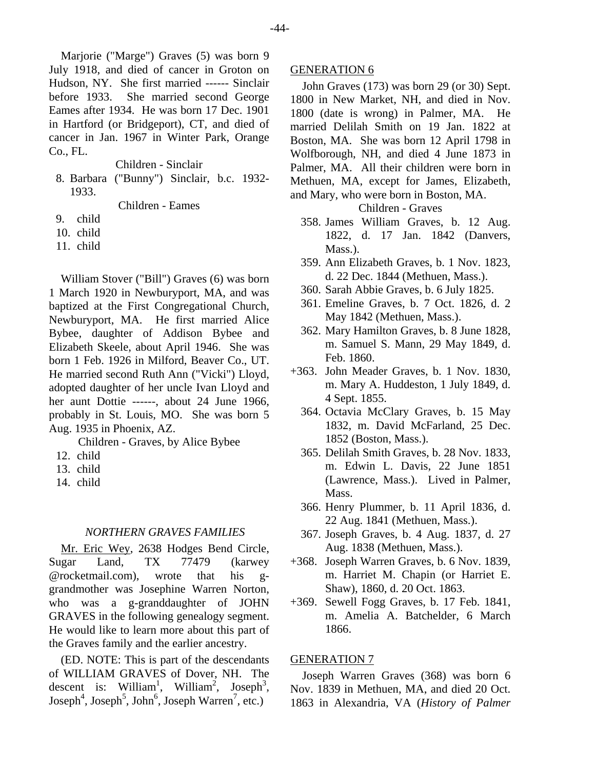Marjorie ("Marge") Graves (5) was born 9 July 1918, and died of cancer in Groton on Hudson, NY. She first married ------ Sinclair before 1933. She married second George Eames after 1934. He was born 17 Dec. 1901 in Hartford (or Bridgeport), CT, and died of cancer in Jan. 1967 in Winter Park, Orange Co., FL.

Children - Sinclair

 8. Barbara ("Bunny") Sinclair, b.c. 1932- 1933.

Children - Eames

9. child

10. child

11. child

William Stover ("Bill") Graves (6) was born 1 March 1920 in Newburyport, MA, and was baptized at the First Congregational Church, Newburyport, MA. He first married Alice Bybee, daughter of Addison Bybee and Elizabeth Skeele, about April 1946. She was born 1 Feb. 1926 in Milford, Beaver Co., UT. He married second Ruth Ann ("Vicki") Lloyd, adopted daughter of her uncle Ivan Lloyd and her aunt Dottie ------, about 24 June 1966, probably in St. Louis, MO. She was born 5 Aug. 1935 in Phoenix, AZ.

Children - Graves, by Alice Bybee

- 12. child
- 13. child
- 14. child

#### *NORTHERN GRAVES FAMILIES*

Mr. Eric Wey, 2638 Hodges Bend Circle, Sugar Land, TX 77479 (karwey @rocketmail.com), wrote that his ggrandmother was Josephine Warren Norton, who was a g-granddaughter of JOHN GRAVES in the following genealogy segment. He would like to learn more about this part of the Graves family and the earlier ancestry.

(ED. NOTE: This is part of the descendants of WILLIAM GRAVES of Dover, NH. The descent is: William<sup>1</sup>, William<sup>2</sup>, Joseph<sup>3</sup>, Joseph<sup>4</sup>, Joseph<sup>5</sup>, John<sup>6</sup>, Joseph Warren<sup>7</sup>, etc.)

GENERATION 6

John Graves (173) was born 29 (or 30) Sept. 1800 in New Market, NH, and died in Nov. 1800 (date is wrong) in Palmer, MA. He married Delilah Smith on 19 Jan. 1822 at Boston, MA. She was born 12 April 1798 in Wolfborough, NH, and died 4 June 1873 in Palmer, MA. All their children were born in Methuen, MA, except for James, Elizabeth, and Mary, who were born in Boston, MA.

Children - Graves

- 358. James William Graves, b. 12 Aug. 1822, d. 17 Jan. 1842 (Danvers, Mass.).
- 359. Ann Elizabeth Graves, b. 1 Nov. 1823, d. 22 Dec. 1844 (Methuen, Mass.).
- 360. Sarah Abbie Graves, b. 6 July 1825.
- 361. Emeline Graves, b. 7 Oct. 1826, d. 2 May 1842 (Methuen, Mass.).
- 362. Mary Hamilton Graves, b. 8 June 1828, m. Samuel S. Mann, 29 May 1849, d. Feb. 1860.
- +363. John Meader Graves, b. 1 Nov. 1830, m. Mary A. Huddeston, 1 July 1849, d. 4 Sept. 1855.
	- 364. Octavia McClary Graves, b. 15 May 1832, m. David McFarland, 25 Dec. 1852 (Boston, Mass.).
	- 365. Delilah Smith Graves, b. 28 Nov. 1833, m. Edwin L. Davis, 22 June 1851 (Lawrence, Mass.). Lived in Palmer, Mass.
	- 366. Henry Plummer, b. 11 April 1836, d. 22 Aug. 1841 (Methuen, Mass.).
	- 367. Joseph Graves, b. 4 Aug. 1837, d. 27 Aug. 1838 (Methuen, Mass.).
- +368. Joseph Warren Graves, b. 6 Nov. 1839, m. Harriet M. Chapin (or Harriet E. Shaw), 1860, d. 20 Oct. 1863.
- +369. Sewell Fogg Graves, b. 17 Feb. 1841, m. Amelia A. Batchelder, 6 March 1866.

#### GENERATION 7

Joseph Warren Graves (368) was born 6 Nov. 1839 in Methuen, MA, and died 20 Oct. 1863 in Alexandria, VA (*History of Palmer*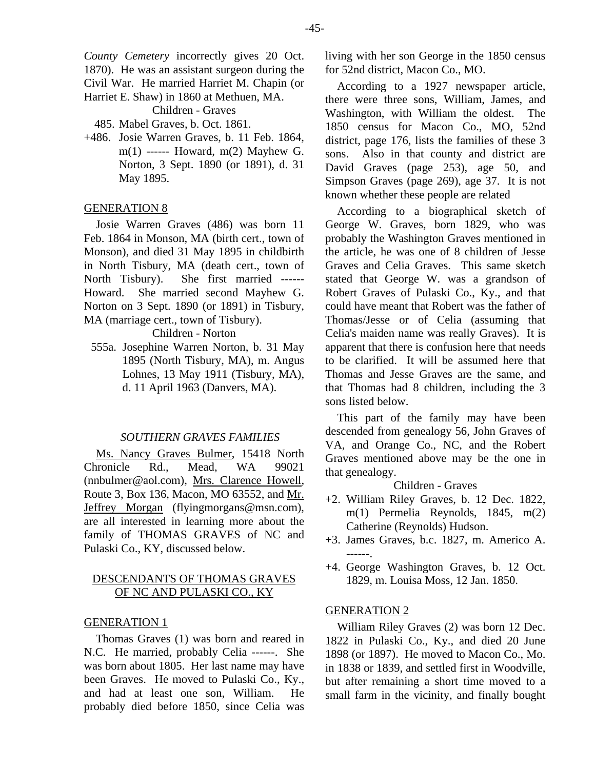*County Cemetery* incorrectly gives 20 Oct. 1870). He was an assistant surgeon during the Civil War. He married Harriet M. Chapin (or Harriet E. Shaw) in 1860 at Methuen, MA.

Children - Graves

485. Mabel Graves, b. Oct. 1861.

+486. Josie Warren Graves, b. 11 Feb. 1864, m(1) ------ Howard, m(2) Mayhew G. Norton, 3 Sept. 1890 (or 1891), d. 31 May 1895.

#### GENERATION 8

Josie Warren Graves (486) was born 11 Feb. 1864 in Monson, MA (birth cert., town of Monson), and died 31 May 1895 in childbirth in North Tisbury, MA (death cert., town of North Tisbury). She first married ------ Howard. She married second Mayhew G. Norton on 3 Sept. 1890 (or 1891) in Tisbury, MA (marriage cert., town of Tisbury).

#### Children - Norton

 555a. Josephine Warren Norton, b. 31 May 1895 (North Tisbury, MA), m. Angus Lohnes, 13 May 1911 (Tisbury, MA), d. 11 April 1963 (Danvers, MA).

#### *SOUTHERN GRAVES FAMILIES*

Ms. Nancy Graves Bulmer, 15418 North Chronicle Rd., Mead, WA 99021 (nnbulmer@aol.com), Mrs. Clarence Howell, Route 3, Box 136, Macon, MO 63552, and Mr. Jeffrey Morgan (flyingmorgans@msn.com), are all interested in learning more about the family of THOMAS GRAVES of NC and Pulaski Co., KY, discussed below.

# DESCENDANTS OF THOMAS GRAVES OF NC AND PULASKI CO., KY

#### GENERATION 1

Thomas Graves (1) was born and reared in N.C. He married, probably Celia ------. She was born about 1805. Her last name may have been Graves. He moved to Pulaski Co., Ky., and had at least one son, William. He probably died before 1850, since Celia was

living with her son George in the 1850 census for 52nd district, Macon Co., MO.

According to a 1927 newspaper article, there were three sons, William, James, and Washington, with William the oldest. The 1850 census for Macon Co., MO, 52nd district, page 176, lists the families of these 3 sons. Also in that county and district are David Graves (page 253), age 50, and Simpson Graves (page 269), age 37. It is not known whether these people are related

According to a biographical sketch of George W. Graves, born 1829, who was probably the Washington Graves mentioned in the article, he was one of 8 children of Jesse Graves and Celia Graves. This same sketch stated that George W. was a grandson of Robert Graves of Pulaski Co., Ky., and that could have meant that Robert was the father of Thomas/Jesse or of Celia (assuming that Celia's maiden name was really Graves). It is apparent that there is confusion here that needs to be clarified. It will be assumed here that Thomas and Jesse Graves are the same, and that Thomas had 8 children, including the 3 sons listed below.

This part of the family may have been descended from genealogy 56, John Graves of VA, and Orange Co., NC, and the Robert Graves mentioned above may be the one in that genealogy.

Children - Graves

- +2. William Riley Graves, b. 12 Dec. 1822, m(1) Permelia Reynolds, 1845, m(2) Catherine (Reynolds) Hudson.
- +3. James Graves, b.c. 1827, m. Americo A. ------.
- +4. George Washington Graves, b. 12 Oct. 1829, m. Louisa Moss, 12 Jan. 1850.

#### GENERATION 2

William Riley Graves (2) was born 12 Dec. 1822 in Pulaski Co., Ky., and died 20 June 1898 (or 1897). He moved to Macon Co., Mo. in 1838 or 1839, and settled first in Woodville, but after remaining a short time moved to a small farm in the vicinity, and finally bought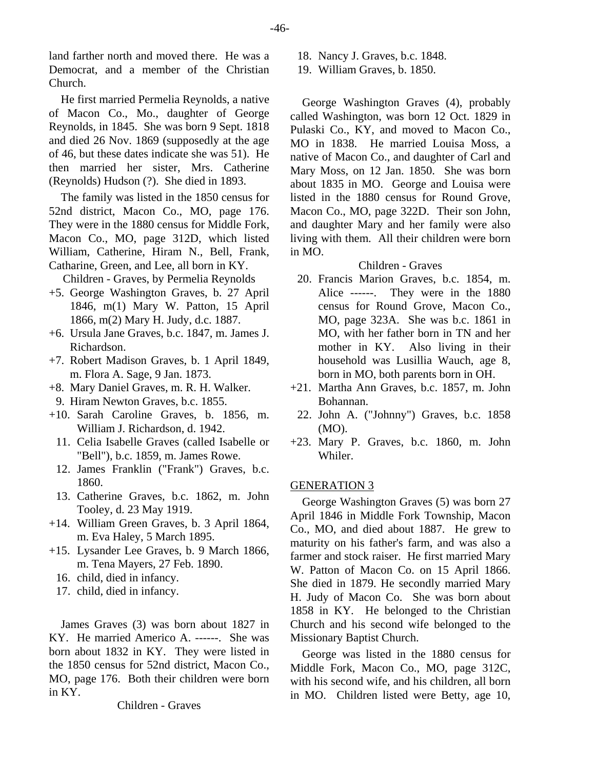land farther north and moved there. He was a Democrat, and a member of the Christian Church.

He first married Permelia Reynolds, a native of Macon Co., Mo., daughter of George Reynolds, in 1845. She was born 9 Sept. 1818 and died 26 Nov. 1869 (supposedly at the age of 46, but these dates indicate she was 51). He then married her sister, Mrs. Catherine (Reynolds) Hudson (?). She died in 1893.

The family was listed in the 1850 census for 52nd district, Macon Co., MO, page 176. They were in the 1880 census for Middle Fork, Macon Co., MO, page 312D, which listed William, Catherine, Hiram N., Bell, Frank, Catharine, Green, and Lee, all born in KY.

Children - Graves, by Permelia Reynolds

- +5. George Washington Graves, b. 27 April 1846, m(1) Mary W. Patton, 15 April 1866, m(2) Mary H. Judy, d.c. 1887.
- +6. Ursula Jane Graves, b.c. 1847, m. James J. Richardson.
- +7. Robert Madison Graves, b. 1 April 1849, m. Flora A. Sage, 9 Jan. 1873.
- +8. Mary Daniel Graves, m. R. H. Walker.
- 9. Hiram Newton Graves, b.c. 1855.
- +10. Sarah Caroline Graves, b. 1856, m. William J. Richardson, d. 1942.
	- 11. Celia Isabelle Graves (called Isabelle or "Bell"), b.c. 1859, m. James Rowe.
	- 12. James Franklin ("Frank") Graves, b.c. 1860.
	- 13. Catherine Graves, b.c. 1862, m. John Tooley, d. 23 May 1919.
- +14. William Green Graves, b. 3 April 1864, m. Eva Haley, 5 March 1895.
- +15. Lysander Lee Graves, b. 9 March 1866, m. Tena Mayers, 27 Feb. 1890.
	- 16. child, died in infancy.
	- 17. child, died in infancy.

James Graves (3) was born about 1827 in KY. He married Americo A. ------. She was born about 1832 in KY. They were listed in the 1850 census for 52nd district, Macon Co., MO, page 176. Both their children were born in KY.

Children - Graves

- 18. Nancy J. Graves, b.c. 1848.
- 19. William Graves, b. 1850.

George Washington Graves (4), probably called Washington, was born 12 Oct. 1829 in Pulaski Co., KY, and moved to Macon Co., MO in 1838. He married Louisa Moss, a native of Macon Co., and daughter of Carl and Mary Moss, on 12 Jan. 1850. She was born about 1835 in MO. George and Louisa were listed in the 1880 census for Round Grove, Macon Co., MO, page 322D. Their son John, and daughter Mary and her family were also living with them. All their children were born in MO.

#### Children - Graves

- 20. Francis Marion Graves, b.c. 1854, m. Alice ------. They were in the 1880 census for Round Grove, Macon Co., MO, page 323A. She was b.c. 1861 in MO, with her father born in TN and her mother in KY. Also living in their household was Lusillia Wauch, age 8, born in MO, both parents born in OH.
- +21. Martha Ann Graves, b.c. 1857, m. John Bohannan.
- 22. John A. ("Johnny") Graves, b.c. 1858 (MO).
- +23. Mary P. Graves, b.c. 1860, m. John Whiler.

# GENERATION 3

George Washington Graves (5) was born 27 April 1846 in Middle Fork Township, Macon Co., MO, and died about 1887. He grew to maturity on his father's farm, and was also a farmer and stock raiser. He first married Mary W. Patton of Macon Co. on 15 April 1866. She died in 1879. He secondly married Mary H. Judy of Macon Co. She was born about 1858 in KY. He belonged to the Christian Church and his second wife belonged to the Missionary Baptist Church.

George was listed in the 1880 census for Middle Fork, Macon Co., MO, page 312C, with his second wife, and his children, all born in MO. Children listed were Betty, age 10,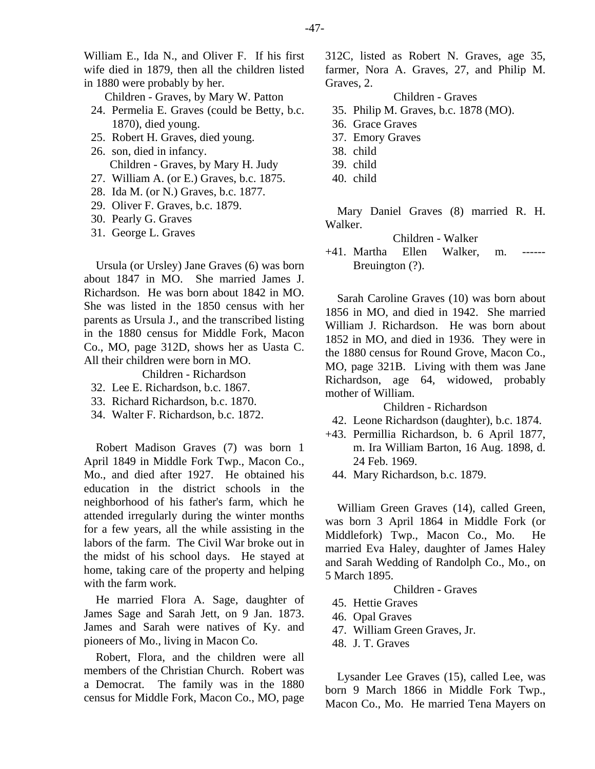William E., Ida N., and Oliver F. If his first wife died in 1879, then all the children listed in 1880 were probably by her.

Children - Graves, by Mary W. Patton

- 24. Permelia E. Graves (could be Betty, b.c. 1870), died young.
- 25. Robert H. Graves, died young.
- 26. son, died in infancy. Children - Graves, by Mary H. Judy
- 27. William A. (or E.) Graves, b.c. 1875.
- 28. Ida M. (or N.) Graves, b.c. 1877.
- 29. Oliver F. Graves, b.c. 1879.
- 30. Pearly G. Graves
- 31. George L. Graves

Ursula (or Ursley) Jane Graves (6) was born about 1847 in MO. She married James J. Richardson. He was born about 1842 in MO. She was listed in the 1850 census with her parents as Ursula J., and the transcribed listing in the 1880 census for Middle Fork, Macon Co., MO, page 312D, shows her as Uasta C. All their children were born in MO.

Children - Richardson

- 32. Lee E. Richardson, b.c. 1867.
- 33. Richard Richardson, b.c. 1870.
- 34. Walter F. Richardson, b.c. 1872.

Robert Madison Graves (7) was born 1 April 1849 in Middle Fork Twp., Macon Co., Mo., and died after 1927. He obtained his education in the district schools in the neighborhood of his father's farm, which he attended irregularly during the winter months for a few years, all the while assisting in the labors of the farm. The Civil War broke out in the midst of his school days. He stayed at home, taking care of the property and helping with the farm work.

He married Flora A. Sage, daughter of James Sage and Sarah Jett, on 9 Jan. 1873. James and Sarah were natives of Ky. and pioneers of Mo., living in Macon Co.

Robert, Flora, and the children were all members of the Christian Church. Robert was a Democrat. The family was in the 1880 census for Middle Fork, Macon Co., MO, page 312C, listed as Robert N. Graves, age 35, farmer, Nora A. Graves, 27, and Philip M. Graves, 2.

# Children - Graves

- 35. Philip M. Graves, b.c. 1878 (MO).
- 36. Grace Graves
- 37. Emory Graves
- 38. child
- 39. child
- 40. child

Mary Daniel Graves (8) married R. H. Walker.

#### Children - Walker

 $+41.$  Martha Ellen Walker, m. Breuington  $(?)$ .

Sarah Caroline Graves (10) was born about 1856 in MO, and died in 1942. She married William J. Richardson. He was born about 1852 in MO, and died in 1936. They were in the 1880 census for Round Grove, Macon Co., MO, page 321B. Living with them was Jane Richardson, age 64, widowed, probably mother of William.

Children - Richardson

- 42. Leone Richardson (daughter), b.c. 1874.
- +43. Permillia Richardson, b. 6 April 1877, m. Ira William Barton, 16 Aug. 1898, d. 24 Feb. 1969.
	- 44. Mary Richardson, b.c. 1879.

William Green Graves (14), called Green, was born 3 April 1864 in Middle Fork (or Middlefork) Twp., Macon Co., Mo. He married Eva Haley, daughter of James Haley and Sarah Wedding of Randolph Co., Mo., on 5 March 1895.

- Children Graves
- 45. Hettie Graves
- 46. Opal Graves
- 47. William Green Graves, Jr.
- 48. J. T. Graves

Lysander Lee Graves (15), called Lee, was born 9 March 1866 in Middle Fork Twp., Macon Co., Mo. He married Tena Mayers on